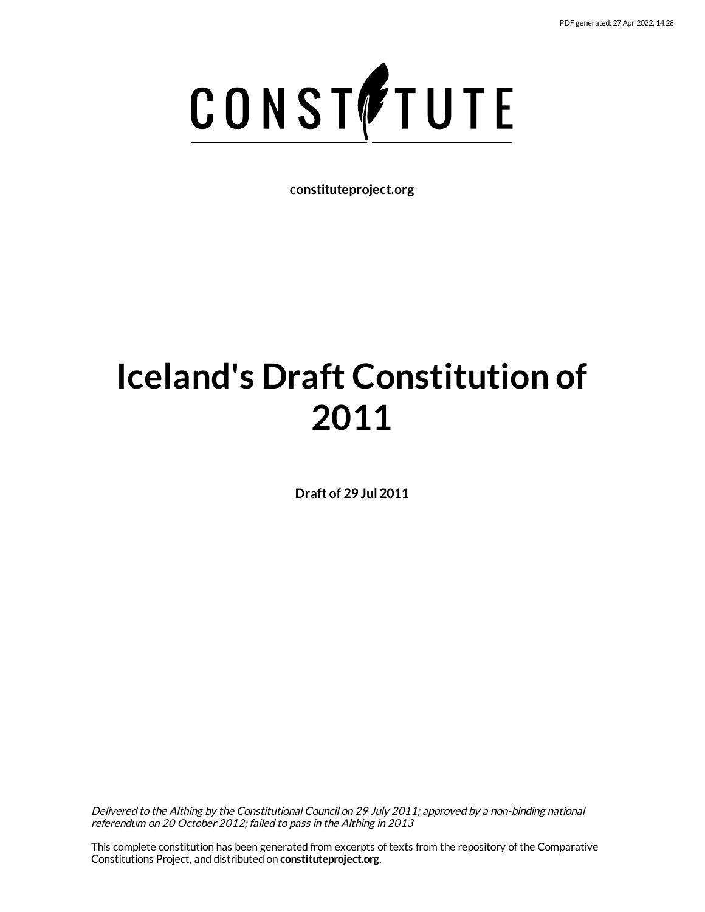

**constituteproject.org**

# **Iceland's Draft Constitution of 2011**

**Draft of 29 Jul 2011**

Delivered to the Althing by the Constitutional Council on 29 July 2011; approved by <sup>a</sup> non-binding national referendum on 20 October 2012; failed to pass in the Althing in 2013

This complete constitution has been generated from excerpts of texts from the repository of the Comparative Constitutions Project, and distributed on **constituteproject.org**.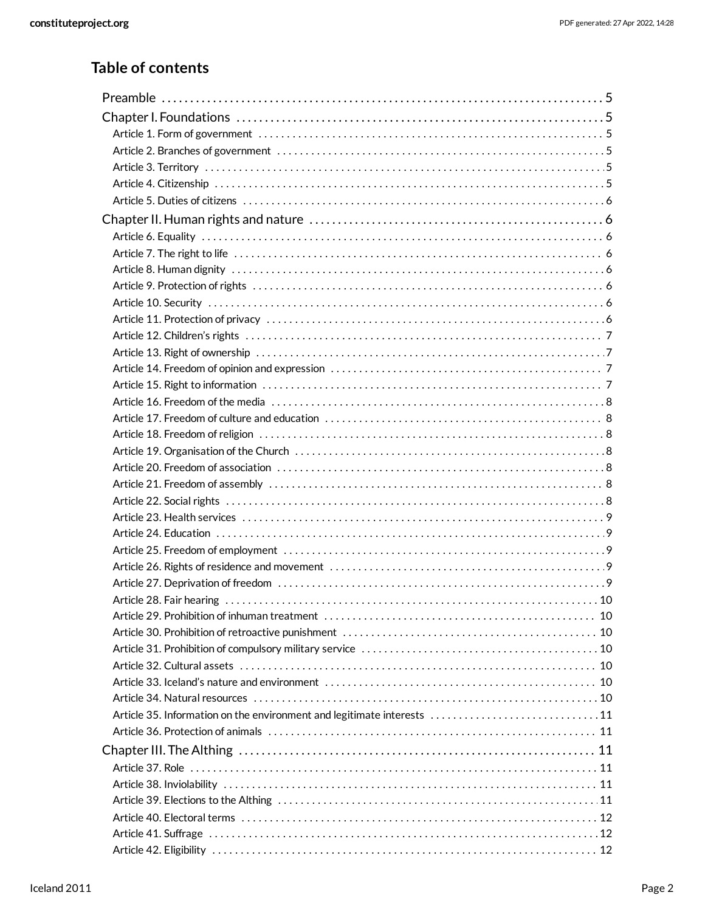# **Table of contents**

| Article 29. Prohibition of inhuman treatment (a) contained a series and contained a series of 10 |  |
|--------------------------------------------------------------------------------------------------|--|
|                                                                                                  |  |
|                                                                                                  |  |
|                                                                                                  |  |
|                                                                                                  |  |
|                                                                                                  |  |
| Article 35. Information on the environment and legitimate interests 11                           |  |
|                                                                                                  |  |
|                                                                                                  |  |
|                                                                                                  |  |
|                                                                                                  |  |
|                                                                                                  |  |
|                                                                                                  |  |
|                                                                                                  |  |
|                                                                                                  |  |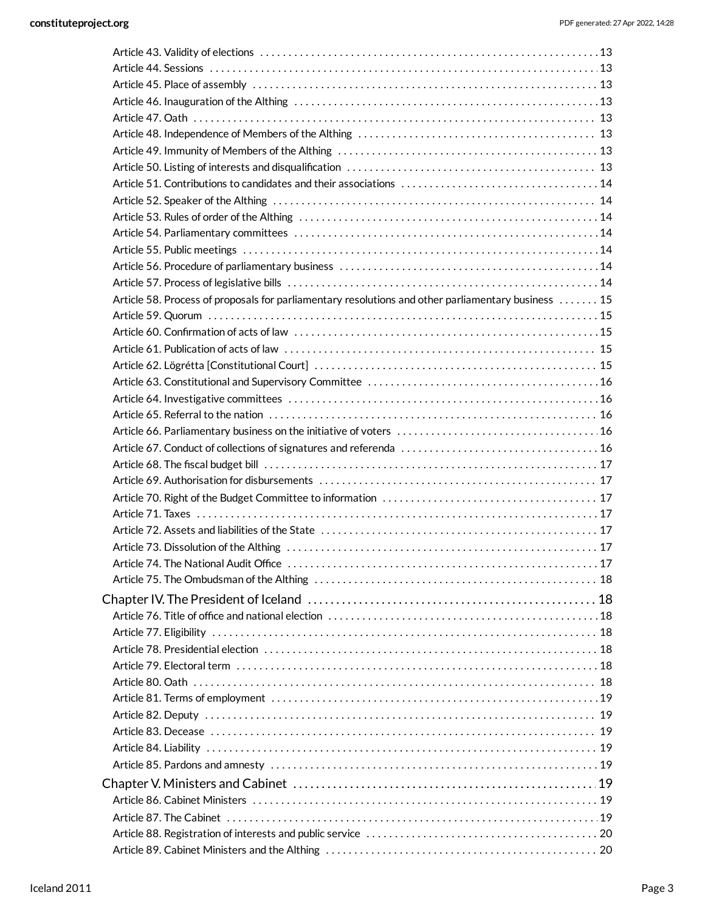| Article 58. Process of proposals for parliamentary resolutions and other parliamentary business  15 |    |
|-----------------------------------------------------------------------------------------------------|----|
|                                                                                                     |    |
|                                                                                                     |    |
|                                                                                                     |    |
|                                                                                                     |    |
|                                                                                                     |    |
|                                                                                                     |    |
|                                                                                                     |    |
|                                                                                                     |    |
|                                                                                                     |    |
|                                                                                                     |    |
|                                                                                                     |    |
|                                                                                                     |    |
|                                                                                                     |    |
|                                                                                                     |    |
|                                                                                                     |    |
|                                                                                                     | 17 |
|                                                                                                     |    |
|                                                                                                     |    |
|                                                                                                     |    |
|                                                                                                     |    |
|                                                                                                     |    |
|                                                                                                     |    |
|                                                                                                     |    |
|                                                                                                     |    |
|                                                                                                     |    |
|                                                                                                     |    |
|                                                                                                     |    |
|                                                                                                     |    |
|                                                                                                     |    |
|                                                                                                     |    |
|                                                                                                     |    |
|                                                                                                     |    |
|                                                                                                     |    |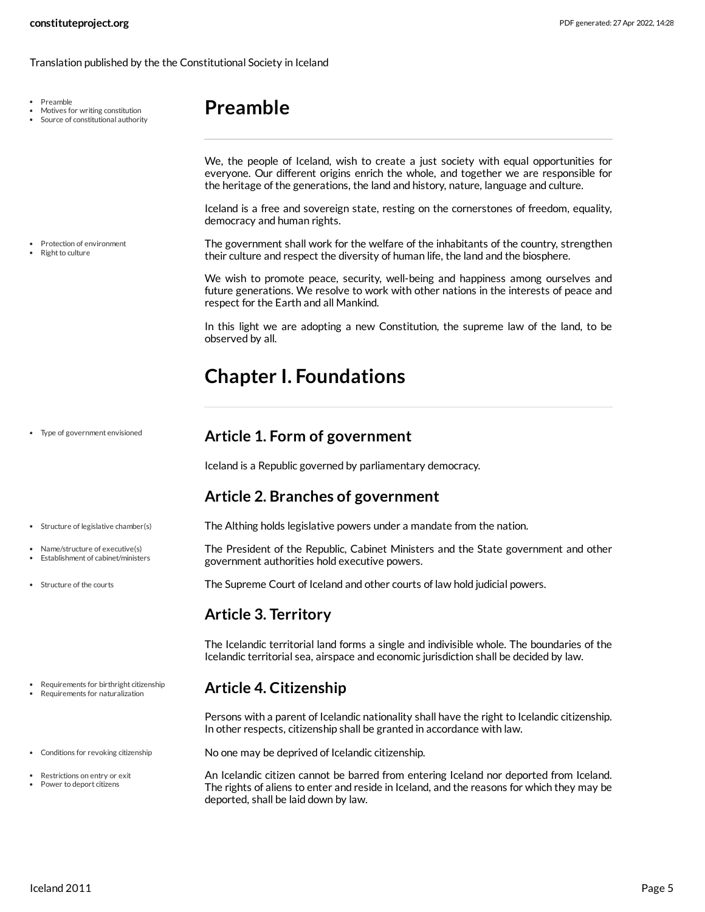#### Translation published by the the Constitutional Society in Iceland

Preamble

- Motives for writing constitution
- Source of constitutional authority

Protection of environment Right to culture

<span id="page-4-0"></span>**Preamble**

We, the people of Iceland, wish to create a just society with equal opportunities for everyone. Our different origins enrich the whole, and together we are responsible for the heritage of the generations, the land and history, nature, language and culture.

Iceland is a free and sovereign state, resting on the cornerstones of freedom, equality, democracy and human rights.

<span id="page-4-9"></span>The government shall work for the welfare of the inhabitants of the country, strengthen their culture and respect the diversity of human life, the land and the biosphere.

We wish to promote peace, security, well-being and happiness among ourselves and future generations. We resolve to work with other nations in the interests of peace and respect for the Earth and all Mankind.

In this light we are adopting a new Constitution, the supreme law of the land, to be observed by all.

# <span id="page-4-1"></span>**Chapter I. Foundations**

Type of government envisioned

#### <span id="page-4-2"></span>**Article 1. Form of government**

Iceland is a Republic governed by parliamentary democracy.

#### <span id="page-4-3"></span>**Article 2. Branches of government**

- <span id="page-4-10"></span><span id="page-4-7"></span>The Althing holds legislative powers under a mandate from the nation.
	- The President of the Republic, Cabinet Ministers and the State government and other government authorities hold executive powers.
	- The Supreme Court of Iceland and other courts of law hold judicial powers.

#### <span id="page-4-11"></span><span id="page-4-4"></span>**Article 3. Territory**

The Icelandic territorial land forms a single and indivisible whole. The boundaries of the Icelandic territorial sea, airspace and economic jurisdiction shall be decided by law.

#### <span id="page-4-5"></span>**Article 4. Citizenship**

Persons with a parent of Icelandic nationality shall have the right to Icelandic citizenship. In other respects, citizenship shall be granted in accordance with law.

<span id="page-4-6"></span>No one may be deprived of Icelandic citizenship.

<span id="page-4-8"></span>An Icelandic citizen cannot be barred from entering Iceland nor deported from Iceland. The rights of aliens to enter and reside in Iceland, and the reasons for which they may be deported, shall be laid down by law.

• Structure of legislative chamber(s)

- Name/structure of executive(s)
- Establishment of cabinet/ministers
- Structure of the courts
- Requirements for birthright citizenship Requirements for naturalization
- 
- Conditions for revoking citizenship
- Restrictions on entry or exit
- Power to deport citizens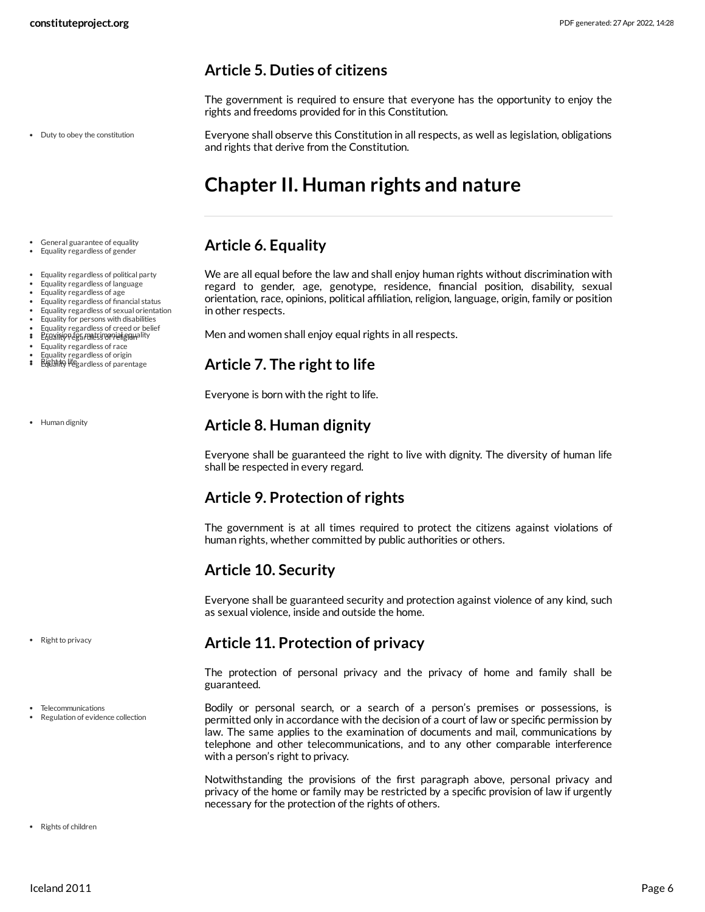#### <span id="page-5-0"></span>**Article 5. Duties of citizens**

The government is required to ensure that everyone has the opportunity to enjoy the rights and freedoms provided for in this Constitution.

• Duty to obey the constitution

<span id="page-5-8"></span>Everyone shall observe this Constitution in all respects, as well as legislation, obligations and rights that derive from the Constitution.

# <span id="page-5-1"></span>**Chapter II. Human rights and nature**

# <span id="page-5-2"></span>**Article 6. Equality**

<span id="page-5-9"></span>We are all equal before the law and shall enjoy human rights without discrimination with regard to gender, age, genotype, residence, financial position, disability, sexual orientation, race, opinions, political affiliation, religion, language, origin, family or position in other respects.

<span id="page-5-10"></span>Men and women shall enjoy equal rights in all respects.

# <span id="page-5-3"></span>**Article 7. The right to life**

Everyone is born with the right to life.

# <span id="page-5-4"></span>**Article 8. Human dignity**

Everyone shall be guaranteed the right to live with dignity. The diversity of human life shall be respected in every regard.

# <span id="page-5-5"></span>**Article 9. Protection of rights**

The government is at all times required to protect the citizens against violations of human rights, whether committed by public authorities or others.

# <span id="page-5-6"></span>**Article 10. Security**

Everyone shall be guaranteed security and protection against violence of any kind, such as sexual violence, inside and outside the home.

#### <span id="page-5-7"></span>**Article 11. Protection of privacy**

The protection of personal privacy and the privacy of home and family shall be guaranteed.

<span id="page-5-11"></span>Bodily or personal search, or a search of a person's premises or possessions, is permitted only in accordance with the decision of a court of law or specific permission by law. The same applies to the examination of documents and mail, communications by telephone and other telecommunications, and to any other comparable interference with a person's right to privacy.

<span id="page-5-12"></span>Notwithstanding the provisions of the first paragraph above, personal privacy and privacy of the home or family may be restricted by a specific provision of law if urgently necessary for the protection of the rights of others.

General guarantee of equality Equality regardless of gender

- Equality regardless of political party
- Equality regardless of language
- Equality regardless of age
- Equality regardless of financial status
- Equality regardless of sexual orientation Equality for persons with disabilities
- Equality regardless of creed or belief
- $\mathbf{r}$ Provision for matrimonial equality
- Equality regardless of race
- 
- Equality regardless of origin<br>**Righthty life**gardless of parentage

• Human dignity

• Right to privacy

- Telecommunications
- Regulation of evidence collection

• Rights of children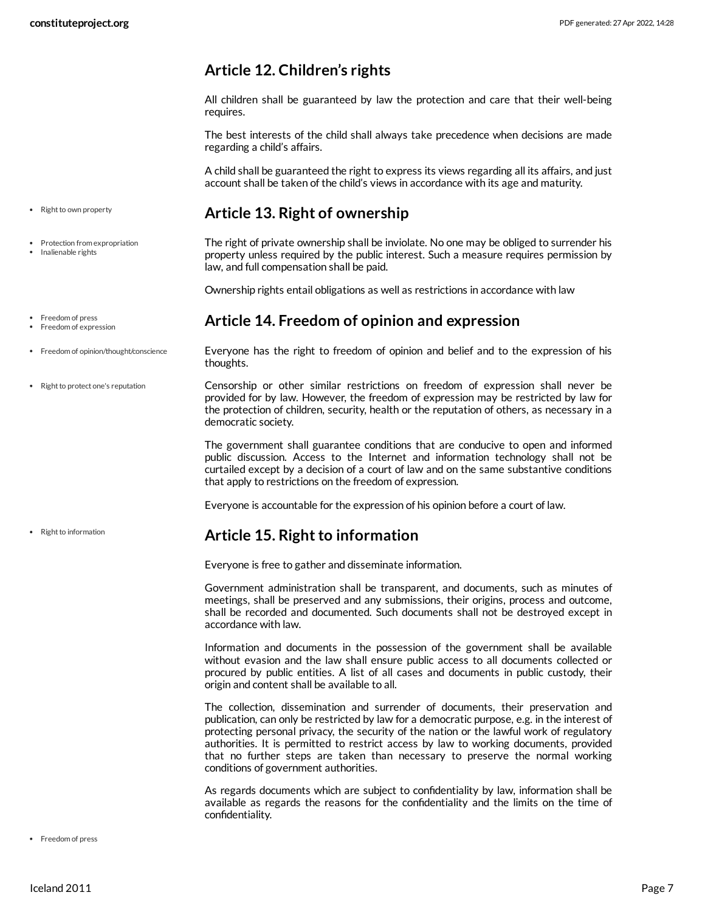# <span id="page-6-0"></span>**Article 12. Children's rights**

All children shall be guaranteed by law the protection and care that their well-being requires.

The best interests of the child shall always take precedence when decisions are made regarding a child's affairs.

A child shall be guaranteed the right to express its views regarding all its affairs, and just account shall be taken of the child's views in accordance with its age and maturity.

#### <span id="page-6-1"></span>**Article 13. Right of ownership**

<span id="page-6-5"></span>The right of private ownership shall be inviolate. No one may be obliged to surrender his property unless required by the public interest. Such a measure requires permission by law, and full compensation shall be paid.

Ownership rights entail obligations as well as restrictions in accordance with law

#### <span id="page-6-2"></span>**Article 14. Freedom of opinion and expression**

<span id="page-6-4"></span>Everyone has the right to freedom of opinion and belief and to the expression of his thoughts.

<span id="page-6-6"></span>Censorship or other similar restrictions on freedom of expression shall never be provided for by law. However, the freedom of expression may be restricted by law for the protection of children, security, health or the reputation of others, as necessary in a democratic society.

The government shall guarantee conditions that are conducive to open and informed public discussion. Access to the Internet and information technology shall not be curtailed except by a decision of a court of law and on the same substantive conditions that apply to restrictions on the freedom of expression.

Everyone is accountable for the expression of his opinion before a court of law.

#### <span id="page-6-3"></span>**Article 15. Right to information**

Everyone is free to gather and disseminate information.

Government administration shall be transparent, and documents, such as minutes of meetings, shall be preserved and any submissions, their origins, process and outcome, shall be recorded and documented. Such documents shall not be destroyed except in accordance with law.

Information and documents in the possession of the government shall be available without evasion and the law shall ensure public access to all documents collected or procured by public entities. A list of all cases and documents in public custody, their origin and content shall be available to all.

The collection, dissemination and surrender of documents, their preservation and publication, can only be restricted by law for a democratic purpose, e.g. in the interest of protecting personal privacy, the security of the nation or the lawful work of regulatory authorities. It is permitted to restrict access by law to working documents, provided that no further steps are taken than necessary to preserve the normal working conditions of government authorities.

As regards documents which are subject to confidentiality by law, information shall be available as regards the reasons for the confidentiality and the limits on the time of confidentiality.

• Right to own property

- Protection from expropriation
- Inalienable rights
- Freedom of press
- Freedom of expression
- Freedom of opinion/thought/conscience
- Right to protect one's reputation

• Right to information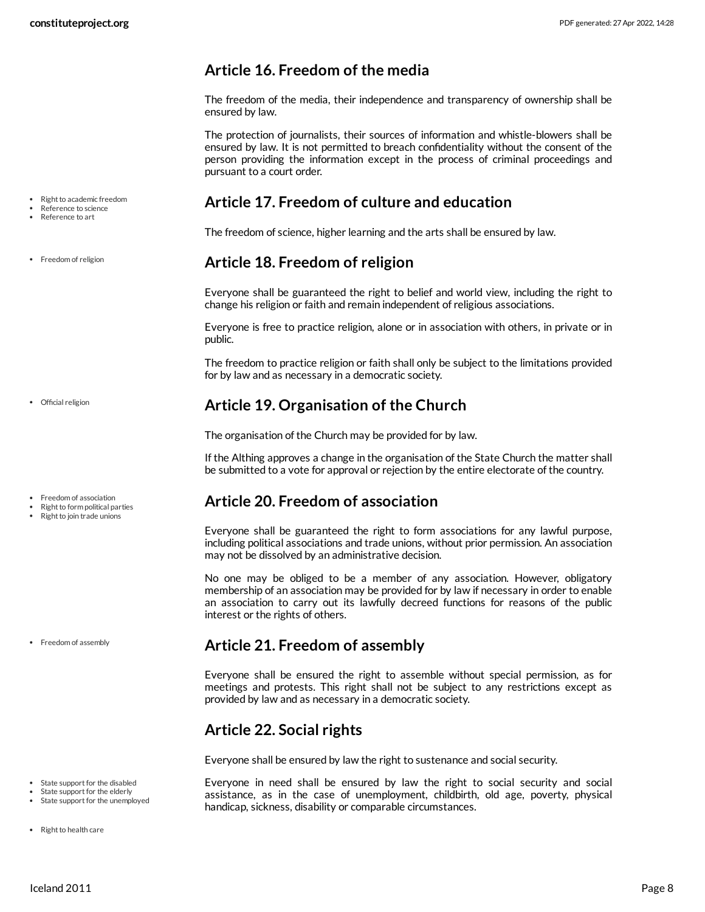#### <span id="page-7-0"></span>**Article 16. Freedom of the media**

The freedom of the media, their independence and transparency of ownership shall be ensured by law.

The protection of journalists, their sources of information and whistle-blowers shall be ensured by law. It is not permitted to breach confidentiality without the consent of the person providing the information except in the process of criminal proceedings and pursuant to a court order.

#### <span id="page-7-1"></span>**Article 17. Freedom of culture and education**

The freedom of science, higher learning and the arts shall be ensured by law.

#### <span id="page-7-2"></span>**Article 18. Freedom of religion**

Everyone shall be guaranteed the right to belief and world view, including the right to change his religion or faith and remain independent of religious associations.

Everyone is free to practice religion, alone or in association with others, in private or in public.

The freedom to practice religion or faith shall only be subject to the limitations provided for by law and as necessary in a democratic society.

# <span id="page-7-3"></span>**Article 19. Organisation of the Church**

The organisation of the Church may be provided for by law.

If the Althing approves a change in the organisation of the State Church the matter shall be submitted to a vote for approval or rejection by the entire electorate of the country.

# <span id="page-7-4"></span>**Article 20. Freedom of association**

Everyone shall be guaranteed the right to form associations for any lawful purpose, including political associations and trade unions, without prior permission. An association may not be dissolved by an administrative decision.

No one may be obliged to be a member of any association. However, obligatory membership of an association may be provided for by law if necessary in order to enable an association to carry out its lawfully decreed functions for reasons of the public interest or the rights of others.

#### <span id="page-7-5"></span>**Article 21. Freedom of assembly**

Everyone shall be ensured the right to assemble without special permission, as for meetings and protests. This right shall not be subject to any restrictions except as provided by law and as necessary in a democratic society.

# <span id="page-7-6"></span>**Article 22. Social rights**

Everyone shall be ensured by law the right to sustenance and social security.

<span id="page-7-8"></span><span id="page-7-7"></span>Everyone in need shall be ensured by law the right to social security and social assistance, as in the case of unemployment, childbirth, old age, poverty, physical handicap, sickness, disability or comparable circumstances.

• Right to academic freedom

- Reference to science Reference to art
- 

• Freedom of religion

Official religion

- Freedom of association
- Right to form political parties Right to join trade unions
- 

• Freedom of assembly

- State support for the disabled State support for the elderly
- State support for the unemploved
- Right to health care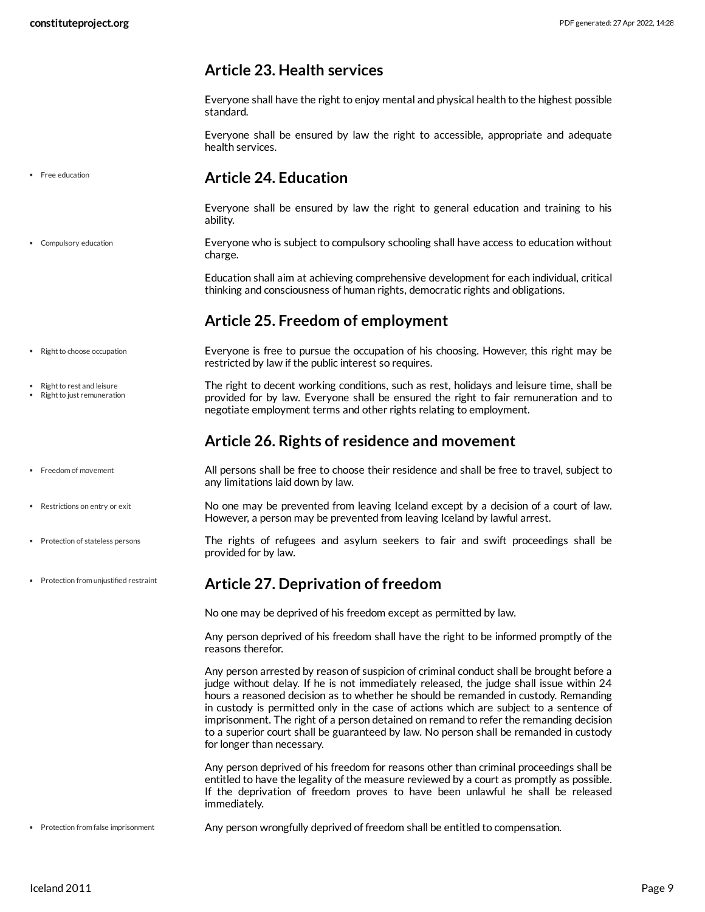# <span id="page-8-0"></span>**Article 23. Health services**

Everyone shall have the right to enjoy mental and physical health to the highest possible standard.

Everyone shall be ensured by law the right to accessible, appropriate and adequate health services.

**•** Free education

Compulsory education

#### <span id="page-8-1"></span>**Article 24. Education**

Everyone shall be ensured by law the right to general education and training to his ability.

<span id="page-8-5"></span>Everyone who is subject to compulsory schooling shall have access to education without charge.

Education shall aim at achieving comprehensive development for each individual, critical thinking and consciousness of human rights, democratic rights and obligations.

# <span id="page-8-10"></span><span id="page-8-2"></span>**Article 25. Freedom of employment**

- Everyone is free to pursue the occupation of his choosing. However, this right may be restricted by law if the public interest so requires. • Right to choose occupation
	- The right to decent working conditions, such as rest, holidays and leisure time, shall be provided for by law. Everyone shall be ensured the right to fair remuneration and to negotiate employment terms and other rights relating to employment.

# <span id="page-8-11"></span><span id="page-8-3"></span>**Article 26. Rights of residence and movement**

<span id="page-8-6"></span>All persons shall be free to choose their residence and shall be free to travel, subject to any limitations laid down by law.

<span id="page-8-9"></span>No one may be prevented from leaving Iceland except by a decision of a court of law. However, a person may be prevented from leaving Iceland by lawful arrest.

<span id="page-8-8"></span>The rights of refugees and asylum seekers to fair and swift proceedings shall be provided for by law.

# <span id="page-8-4"></span>**Article 27. Deprivation of freedom**

No one may be deprived of his freedom except as permitted by law.

Any person deprived of his freedom shall have the right to be informed promptly of the reasons therefor.

Any person arrested by reason of suspicion of criminal conduct shall be brought before a judge without delay. If he is not immediately released, the judge shall issue within 24 hours a reasoned decision as to whether he should be remanded in custody. Remanding in custody is permitted only in the case of actions which are subject to a sentence of imprisonment. The right of a person detained on remand to refer the remanding decision to a superior court shall be guaranteed by law. No person shall be remanded in custody for longer than necessary.

<span id="page-8-7"></span>Any person deprived of his freedom for reasons other than criminal proceedings shall be entitled to have the legality of the measure reviewed by a court as promptly as possible. If the deprivation of freedom proves to have been unlawful he shall be released immediately.

Any person wrongfully deprived of freedom shall be entitled to compensation. • Protection from false imprisonment

• Right to rest and leisure Right to just remuneration

- Freedom of movement
- Restrictions on entry or exit
- Protection of stateless persons
- Protection from unjustified restraint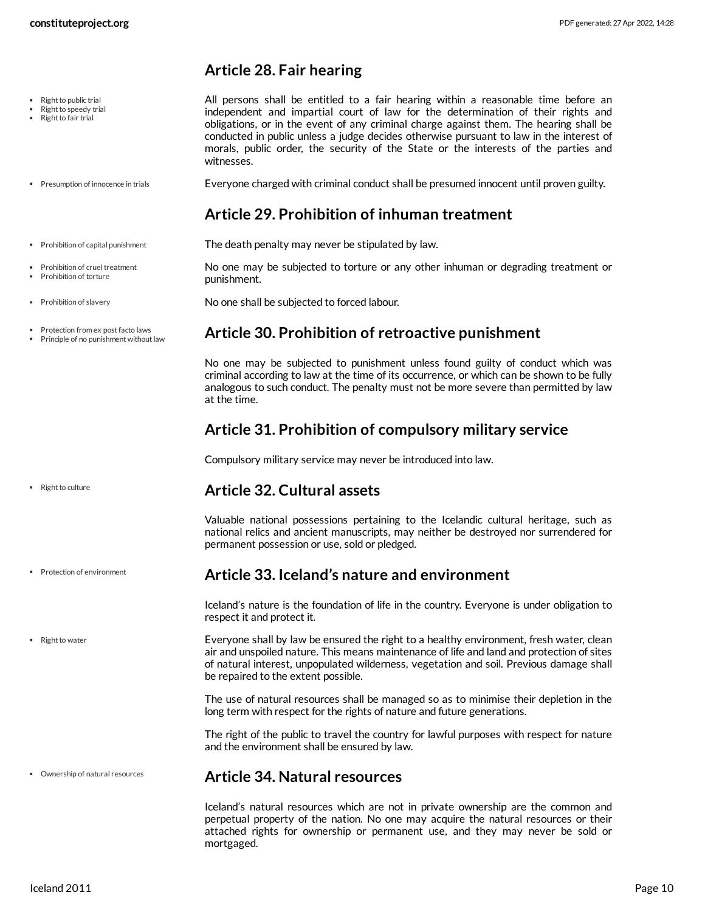#### <span id="page-9-0"></span>**Article 28. Fair hearing**

<span id="page-9-11"></span>All persons shall be entitled to a fair hearing within a reasonable time before an independent and impartial court of law for the determination of their rights and obligations, or in the event of any criminal charge against them. The hearing shall be conducted in public unless a judge decides otherwise pursuant to law in the interest of morals, public order, the security of the State or the interests of the parties and witnesses.

Everyone charged with criminal conduct shall be presumed innocent until proven guilty. • Presumption of innocence in trials

# <span id="page-9-8"></span><span id="page-9-7"></span><span id="page-9-1"></span>**Article 29. Prohibition of inhuman treatment**

- The death penalty may never be stipulated by law. • Prohibition of capital punishment
	- No one may be subjected to torture or any other inhuman or degrading treatment or punishment.

<span id="page-9-10"></span><span id="page-9-9"></span>No one shall be subjected to forced labour.

#### <span id="page-9-2"></span>**Article 30. Prohibition of retroactive punishment**

No one may be subjected to punishment unless found guilty of conduct which was criminal according to law at the time of its occurrence, or which can be shown to be fully analogous to such conduct. The penalty must not be more severe than permitted by law at the time.

# <span id="page-9-3"></span>**Article 31. Prohibition of compulsory military service**

Compulsory military service may never be introduced into law.

#### <span id="page-9-4"></span>**Article 32. Cultural assets**

Valuable national possessions pertaining to the Icelandic cultural heritage, such as national relics and ancient manuscripts, may neither be destroyed nor surrendered for permanent possession or use, sold or pledged.

#### <span id="page-9-5"></span>**Article 33. Iceland's nature and environment**

Iceland's nature is the foundation of life in the country. Everyone is under obligation to respect it and protect it.

<span id="page-9-12"></span>Everyone shall by law be ensured the right to a healthy environment, fresh water, clean air and unspoiled nature. This means maintenance of life and land and protection of sites of natural interest, unpopulated wilderness, vegetation and soil. Previous damage shall be repaired to the extent possible.

The use of natural resources shall be managed so as to minimise their depletion in the long term with respect for the rights of nature and future generations.

The right of the public to travel the country for lawful purposes with respect for nature and the environment shall be ensured by law.

#### <span id="page-9-6"></span>**Article 34. Natural resources**

Iceland's natural resources which are not in private ownership are the common and perpetual property of the nation. No one may acquire the natural resources or their attached rights for ownership or permanent use, and they may never be sold or mortgaged.

Prohibition of cruel treatment Prohibition of torture

• Protection from ex post facto laws Principle of no punishment without law

• Prohibition of slavery

• Right to public trial Right to speedy trial Right to fair trial

- 
- Right to culture
- Protection of environment
- Right to water

Ownership of natural resources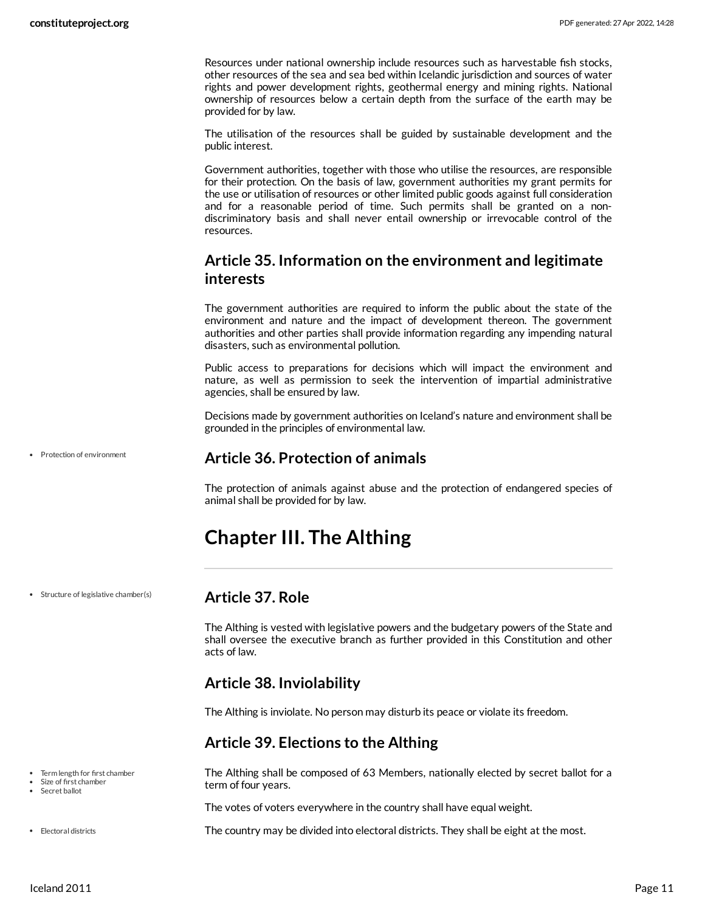Resources under national ownership include resources such as harvestable fish stocks, other resources of the sea and sea bed within Icelandic jurisdiction and sources of water rights and power development rights, geothermal energy and mining rights. National ownership of resources below a certain depth from the surface of the earth may be provided for by law.

The utilisation of the resources shall be guided by sustainable development and the public interest.

Government authorities, together with those who utilise the resources, are responsible for their protection. On the basis of law, government authorities my grant permits for the use or utilisation of resources or other limited public goods against full consideration and for a reasonable period of time. Such permits shall be granted on a nondiscriminatory basis and shall never entail ownership or irrevocable control of the resources.

#### <span id="page-10-0"></span>**Article 35. Information on the environment and legitimate interests**

The government authorities are required to inform the public about the state of the environment and nature and the impact of development thereon. The government authorities and other parties shall provide information regarding any impending natural disasters, such as environmental pollution.

Public access to preparations for decisions which will impact the environment and nature, as well as permission to seek the intervention of impartial administrative agencies, shall be ensured by law.

Decisions made by government authorities on Iceland's nature and environment shall be grounded in the principles of environmental law.

Protection of environment

<span id="page-10-1"></span>**Article 36. Protection of animals**

The protection of animals against abuse and the protection of endangered species of animal shall be provided for by law.

# <span id="page-10-2"></span>**Chapter III. The Althing**

• Structure of legislative chamber(s)

#### <span id="page-10-3"></span>**Article 37. Role**

The Althing is vested with legislative powers and the budgetary powers of the State and shall oversee the executive branch as further provided in this Constitution and other acts of law.

#### <span id="page-10-4"></span>**Article 38. Inviolability**

The Althing is inviolate. No person may disturb its peace or violate its freedom.

#### <span id="page-10-5"></span>**Article 39. Elections to the Althing**

<span id="page-10-7"></span>The Althing shall be composed of 63 Members, nationally elected by secret ballot for a term of four years.

The votes of voters everywhere in the country shall have equal weight.

<span id="page-10-6"></span>The country may be divided into electoral districts. They shall be eight at the most.

- Term length for first chamber
- Size of first chamber Secret ballot
- 
- Electoral districts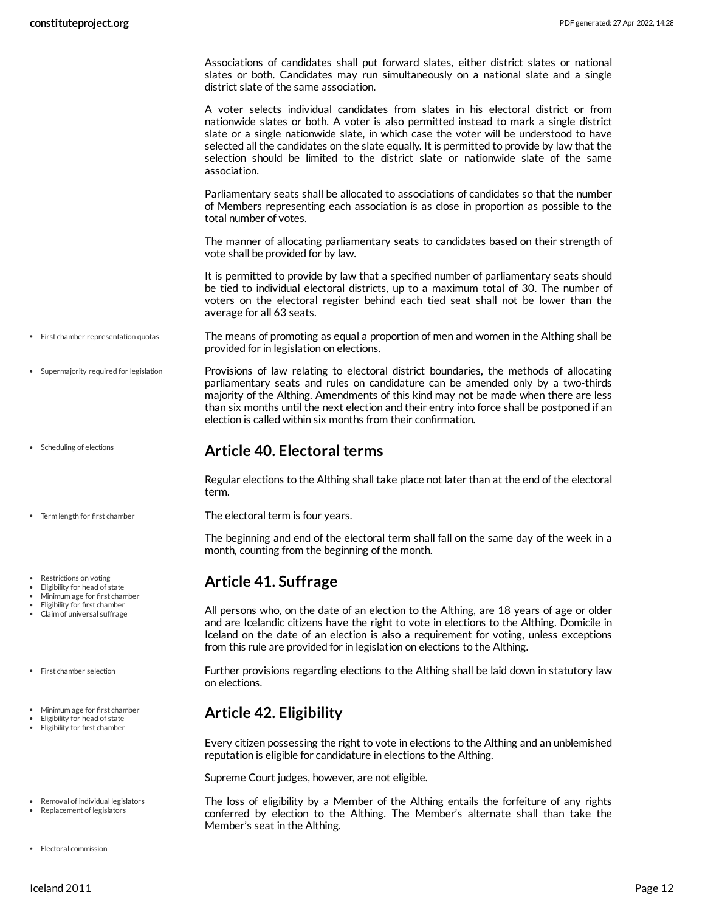Associations of candidates shall put forward slates, either district slates or national slates or both. Candidates may run simultaneously on a national slate and a single district slate of the same association.

A voter selects individual candidates from slates in his electoral district or from nationwide slates or both. A voter is also permitted instead to mark a single district slate or a single nationwide slate, in which case the voter will be understood to have selected all the candidates on the slate equally. It is permitted to provide by law that the selection should be limited to the district slate or nationwide slate of the same association.

Parliamentary seats shall be allocated to associations of candidates so that the number of Members representing each association is as close in proportion as possible to the total number of votes.

The manner of allocating parliamentary seats to candidates based on their strength of vote shall be provided for by law.

<span id="page-11-4"></span>It is permitted to provide by law that a specified number of parliamentary seats should be tied to individual electoral districts, up to a maximum total of 30. The number of voters on the electoral register behind each tied seat shall not be lower than the average for all 63 seats.

- The means of promoting as equal a proportion of men and women in the Althing shall be provided for in legislation on elections. First chamber representation quotas
	- Provisions of law relating to electoral district boundaries, the methods of allocating parliamentary seats and rules on candidature can be amended only by a two-thirds majority of the Althing. Amendments of this kind may not be made when there are less than six months until the next election and their entry into force shall be postponed if an election is called within six months from their confirmation.

#### <span id="page-11-7"></span><span id="page-11-0"></span>**Article 40. Electoral terms**

Regular elections to the Althing shall take place not later than at the end of the electoral term.

<span id="page-11-8"></span>The electoral term is four years.

The beginning and end of the electoral term shall fall on the same day of the week in a month, counting from the beginning of the month.

#### <span id="page-11-1"></span>**Article 41. Suffrage**

All persons who, on the date of an election to the Althing, are 18 years of age or older and are Icelandic citizens have the right to vote in elections to the Althing. Domicile in Iceland on the date of an election is also a requirement for voting, unless exceptions from this rule are provided for in legislation on elections to the Althing.

<span id="page-11-5"></span>Further provisions regarding elections to the Althing shall be laid down in statutory law on elections.

#### <span id="page-11-2"></span>**Article 42. Eligibility**

Every citizen possessing the right to vote in elections to the Althing and an unblemished reputation is eligible for candidature in elections to the Althing.

Supreme Court judges, however, are not eligible.

<span id="page-11-6"></span><span id="page-11-3"></span>The loss of eligibility by a Member of the Althing entails the forfeiture of any rights conferred by election to the Althing. The Member's alternate shall than take the Member's seat in the Althing.

- 
- Supermajority required for legislation
- Scheduling of elections
- Term length for first chamber
- Restrictions on voting
- Eligibility for head of state
- Minimum age for first chamber Eligibility for first chamber
- Claim of universal suffrage
- First chamber selection
- Minimum age for first chamber
- Eligibility for head of state Eligibility for first chamber
- Removal of individual legislators
- Replacement of legislators
- Electoral commission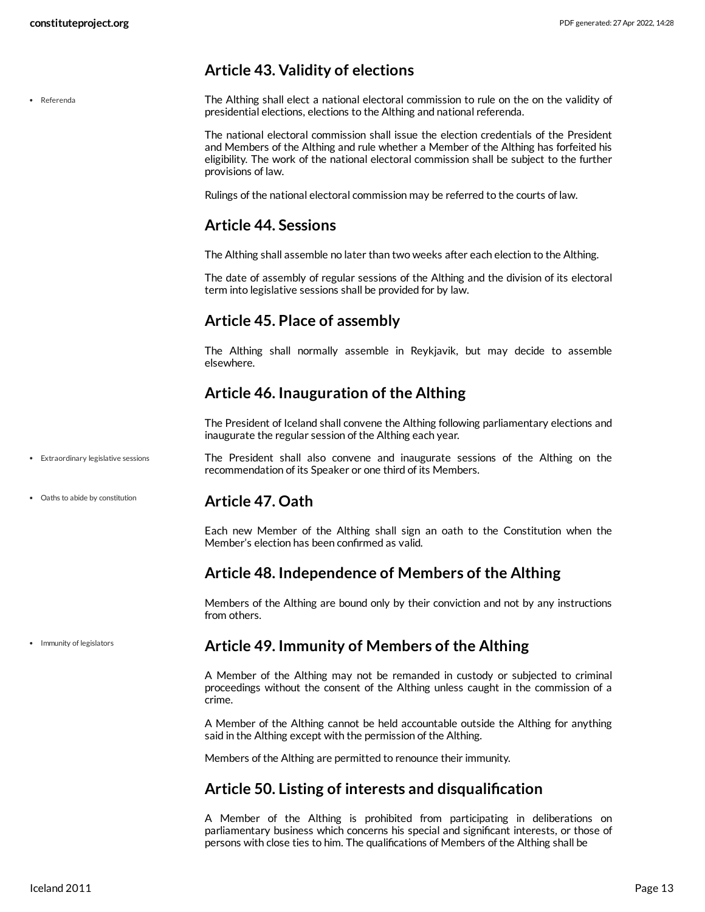# <span id="page-12-0"></span>**Article 43. Validity of elections**

Referenda

<span id="page-12-9"></span>The Althing shall elect a national electoral commission to rule on the on the validity of presidential elections, elections to the Althing and national referenda.

The national electoral commission shall issue the election credentials of the President and Members of the Althing and rule whether a Member of the Althing has forfeited his eligibility. The work of the national electoral commission shall be subject to the further provisions of law.

Rulings of the national electoral commission may be referred to the courts of law.

#### <span id="page-12-1"></span>**Article 44. Sessions**

The Althing shall assemble no later than two weeks after each election to the Althing.

The date of assembly of regular sessions of the Althing and the division of its electoral term into legislative sessions shall be provided for by law.

# <span id="page-12-2"></span>**Article 45. Place of assembly**

The Althing shall normally assemble in Reykjavik, but may decide to assemble elsewhere.

# <span id="page-12-3"></span>**Article 46. Inauguration of the Althing**

<span id="page-12-8"></span>The President of Iceland shall convene the Althing following parliamentary elections and inaugurate the regular session of the Althing each year.

- The President shall also convene and inaugurate sessions of the Althing on the recommendation of its Speaker or one third of its Members. Extraordinary legislative sessions
- Oaths to abide by constitution

#### <span id="page-12-4"></span>**Article 47. Oath**

Each new Member of the Althing shall sign an oath to the Constitution when the Member's election has been confirmed as valid.

#### <span id="page-12-5"></span>**Article 48. Independence of Members of the Althing**

Members of the Althing are bound only by their conviction and not by any instructions from others.

• Immunity of legislators

#### <span id="page-12-6"></span>**Article 49. Immunity of Members of the Althing**

A Member of the Althing may not be remanded in custody or subjected to criminal proceedings without the consent of the Althing unless caught in the commission of a crime.

A Member of the Althing cannot be held accountable outside the Althing for anything said in the Althing except with the permission of the Althing.

Members of the Althing are permitted to renounce their immunity.

# <span id="page-12-7"></span>**Article 50. Listing of interests and disqualification**

A Member of the Althing is prohibited from participating in deliberations on parliamentary business which concerns his special and significant interests, or those of persons with close ties to him. The qualifications of Members of the Althing shall be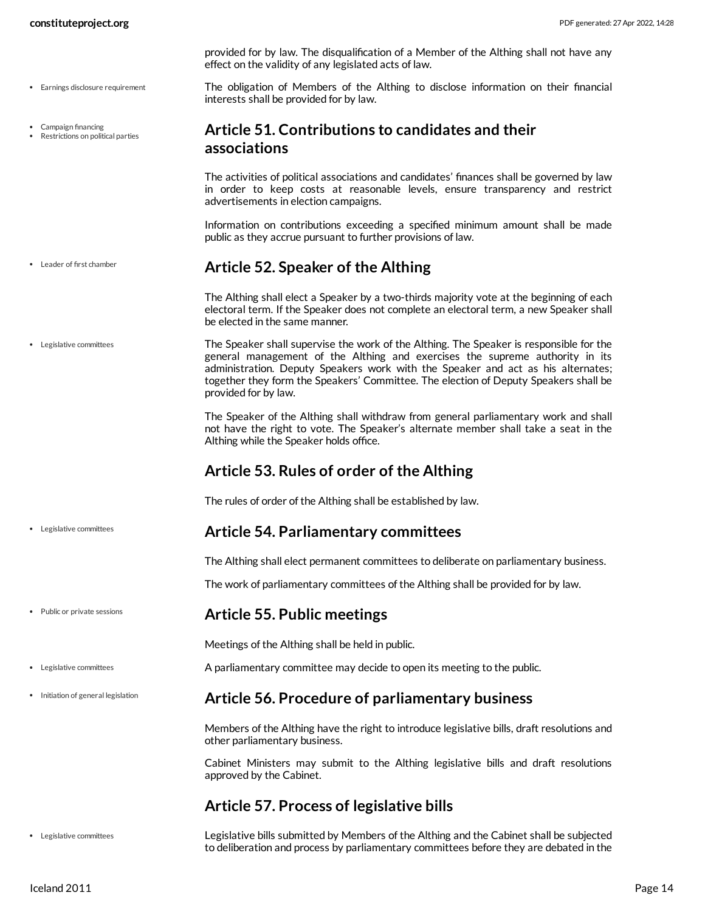- Earnings disclosure requirement
- Campaign financing

Leader of first chamber

Legislative committees

Public or private sessions

Legislative committees

• Initiation of general legislation

Restrictions on political parties

provided for by law. The disqualification of a Member of the Althing shall not have any effect on the validity of any legislated acts of law.

<span id="page-13-7"></span>The obligation of Members of the Althing to disclose information on their financial interests shall be provided for by law.

#### <span id="page-13-0"></span>**Article 51. Contributions to candidates and their associations**

The activities of political associations and candidates' finances shall be governed by law in order to keep costs at reasonable levels, ensure transparency and restrict advertisements in election campaigns.

Information on contributions exceeding a specified minimum amount shall be made public as they accrue pursuant to further provisions of law.

#### <span id="page-13-1"></span>**Article 52. Speaker of the Althing**

<span id="page-13-8"></span>The Althing shall elect a Speaker by a two-thirds majority vote at the beginning of each electoral term. If the Speaker does not complete an electoral term, a new Speaker shall be elected in the same manner.

The Speaker shall supervise the work of the Althing. The Speaker is responsible for the general management of the Althing and exercises the supreme authority in its administration. Deputy Speakers work with the Speaker and act as his alternates; together they form the Speakers' Committee. The election of Deputy Speakers shall be provided for by law. Legislative committees

> The Speaker of the Althing shall withdraw from general parliamentary work and shall not have the right to vote. The Speaker's alternate member shall take a seat in the Althing while the Speaker holds office.

#### <span id="page-13-2"></span>**Article 53. Rules of order of the Althing**

The rules of order of the Althing shall be established by law.

#### <span id="page-13-3"></span>**Article 54. Parliamentary committees**

The Althing shall elect permanent committees to deliberate on parliamentary business.

The work of parliamentary committees of the Althing shall be provided for by law.

#### <span id="page-13-4"></span>**Article 55. Public meetings**

Meetings of the Althing shall be held in public.

A parliamentary committee may decide to open its meeting to the public.

#### <span id="page-13-5"></span>**Article 56. Procedure of parliamentary business**

Members of the Althing have the right to introduce legislative bills, draft resolutions and other parliamentary business.

Cabinet Ministers may submit to the Althing legislative bills and draft resolutions approved by the Cabinet.

#### <span id="page-13-6"></span>**Article 57. Process of legislative bills**

Legislative committees

Legislative bills submitted by Members of the Althing and the Cabinet shall be subjected to deliberation and process by parliamentary committees before they are debated in the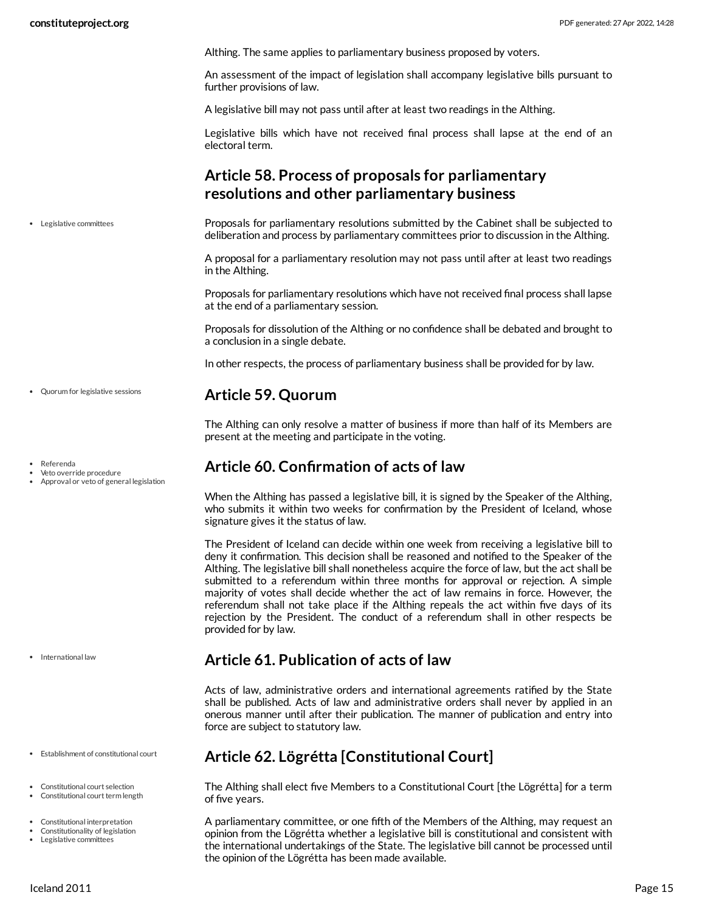Althing. The same applies to parliamentary business proposed by voters.

An assessment of the impact of legislation shall accompany legislative bills pursuant to further provisions of law.

A legislative bill may not pass until after at least two readings in the Althing.

Legislative bills which have not received final process shall lapse at the end of an electoral term.

# <span id="page-14-0"></span>**Article 58. Process of proposals for parliamentary resolutions and other parliamentary business**

Proposals for parliamentary resolutions submitted by the Cabinet shall be subjected to deliberation and process by parliamentary committees prior to discussion in the Althing. Legislative committees

> <span id="page-14-7"></span>A proposal for a parliamentary resolution may not pass until after at least two readings in the Althing.

> Proposals for parliamentary resolutions which have not received final process shall lapse at the end of a parliamentary session.

> Proposals for dissolution of the Althing or no confidence shall be debated and brought to a conclusion in a single debate.

In other respects, the process of parliamentary business shall be provided for by law.

#### <span id="page-14-1"></span>**Article 59. Quorum**

The Althing can only resolve a matter of business if more than half of its Members are present at the meeting and participate in the voting.

#### <span id="page-14-2"></span>**Article 60. Confirmation of acts of law**

When the Althing has passed a legislative bill, it is signed by the Speaker of the Althing, who submits it within two weeks for confirmation by the President of Iceland, whose signature gives it the status of law.

The President of Iceland can decide within one week from receiving a legislative bill to deny it confirmation. This decision shall be reasoned and notified to the Speaker of the Althing. The legislative bill shall nonetheless acquire the force of law, but the act shall be submitted to a referendum within three months for approval or rejection. A simple majority of votes shall decide whether the act of law remains in force. However, the referendum shall not take place if the Althing repeals the act within five days of its rejection by the President. The conduct of a referendum shall in other respects be provided for by law.

#### <span id="page-14-3"></span>**Article 61. Publication of acts of law**

Acts of law, administrative orders and international agreements ratified by the State shall be published. Acts of law and administrative orders shall never by applied in an onerous manner until after their publication. The manner of publication and entry into force are subject to statutory law.

# <span id="page-14-4"></span>**Article 62. Lögrétta [Constitutional Court]**

<span id="page-14-5"></span>The Althing shall elect five Members to a Constitutional Court [the Lögrétta] for a term of five years.

<span id="page-14-6"></span>A parliamentary committee, or one fifth of the Members of the Althing, may request an opinion from the Lögrétta whether a legislative bill is constitutional and consistent with the international undertakings of the State. The legislative bill cannot be processed until the opinion of the Lögrétta has been made available.

Quorum for legislative sessions

Referenda

Veto override procedure

Approval or veto of general legislation

• International law

Establishment of constitutional court

- Constitutional court selection
- Constitutional court term length
- Constitutional interpretation
- Constitutionality of legislation Legislative committees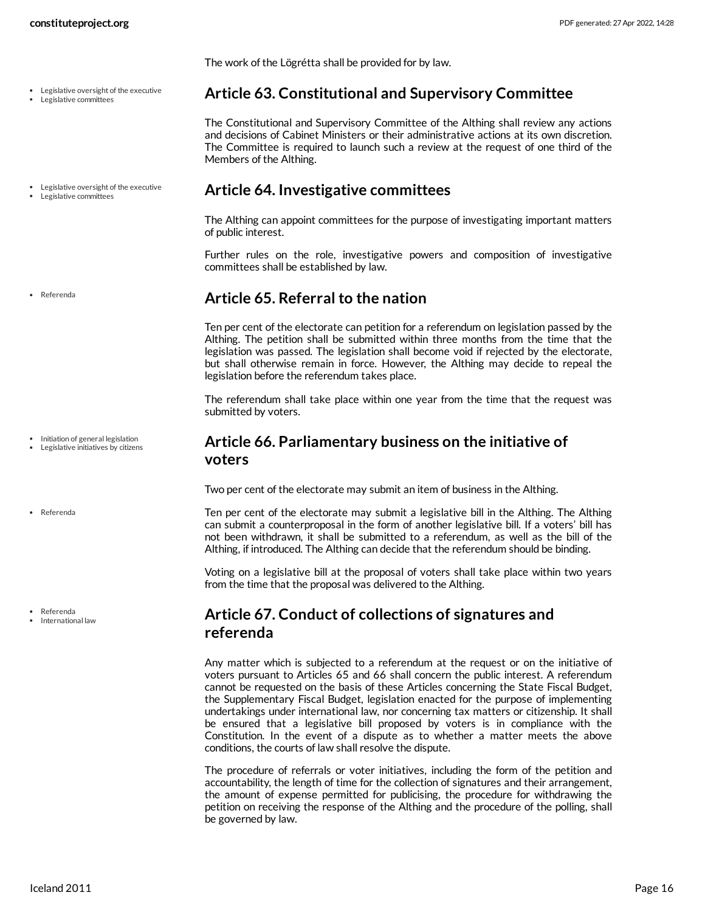The work of the Lögrétta shall be provided for by law.

- Legislative oversight of the executive
- Legislative committees
- Legislative oversight of the executive Legislative committees

Referenda

• Initiation of general legislation

Legislative initiatives by citizens

Referenda

Referenda

International law

#### <span id="page-15-0"></span>**Article 63. Constitutional and Supervisory Committee**

The Constitutional and Supervisory Committee of the Althing shall review any actions and decisions of Cabinet Ministers or their administrative actions at its own discretion. The Committee is required to launch such a review at the request of one third of the Members of the Althing.

#### <span id="page-15-1"></span>**Article 64. Investigative committees**

The Althing can appoint committees for the purpose of investigating important matters of public interest.

Further rules on the role, investigative powers and composition of investigative committees shall be established by law.

#### <span id="page-15-2"></span>**Article 65. Referral to the nation**

Ten per cent of the electorate can petition for a referendum on legislation passed by the Althing. The petition shall be submitted within three months from the time that the legislation was passed. The legislation shall become void if rejected by the electorate, but shall otherwise remain in force. However, the Althing may decide to repeal the legislation before the referendum takes place.

The referendum shall take place within one year from the time that the request was submitted by voters.

#### <span id="page-15-3"></span>**Article 66. Parliamentary business on the initiative of voters**

Two per cent of the electorate may submit an item of business in the Althing.

Ten per cent of the electorate may submit a legislative bill in the Althing. The Althing can submit a counterproposal in the form of another legislative bill. If a voters' bill has not been withdrawn, it shall be submitted to a referendum, as well as the bill of the Althing, if introduced. The Althing can decide that the referendum should be binding.

Voting on a legislative bill at the proposal of voters shall take place within two years from the time that the proposal was delivered to the Althing.

#### <span id="page-15-4"></span>**Article 67. Conduct of collections of signatures and referenda**

Any matter which is subjected to a referendum at the request or on the initiative of voters pursuant to Articles 65 and 66 shall concern the public interest. A referendum cannot be requested on the basis of these Articles concerning the State Fiscal Budget, the Supplementary Fiscal Budget, legislation enacted for the purpose of implementing undertakings under international law, nor concerning tax matters or citizenship. It shall be ensured that a legislative bill proposed by voters is in compliance with the Constitution. In the event of a dispute as to whether a matter meets the above conditions, the courts of law shall resolve the dispute.

The procedure of referrals or voter initiatives, including the form of the petition and accountability, the length of time for the collection of signatures and their arrangement, the amount of expense permitted for publicising, the procedure for withdrawing the petition on receiving the response of the Althing and the procedure of the polling, shall be governed by law.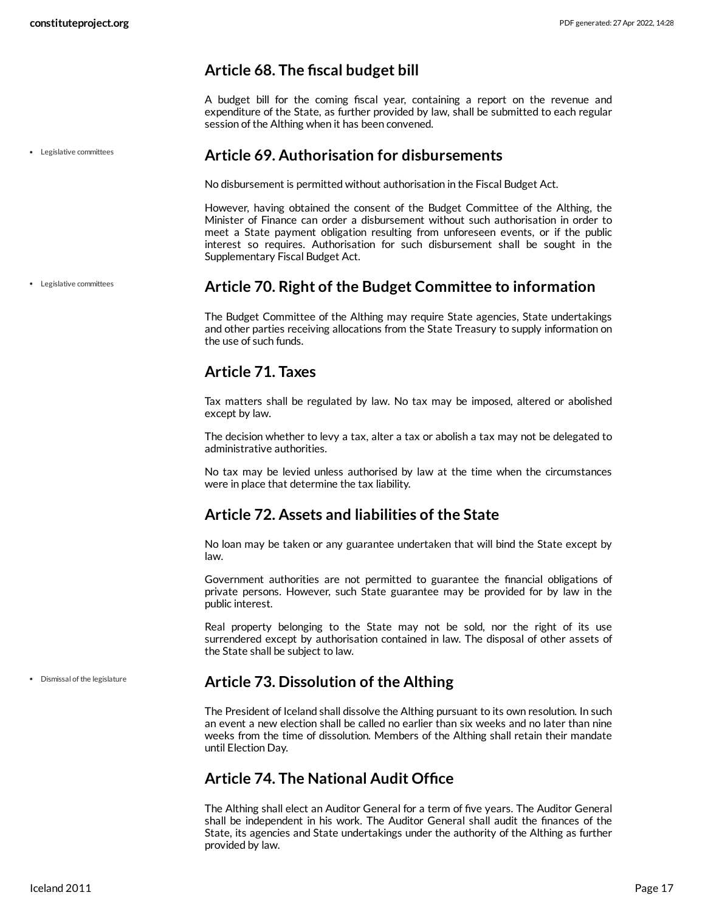## <span id="page-16-0"></span>**Article 68. The fiscal budget bill**

A budget bill for the coming fiscal year, containing a report on the revenue and expenditure of the State, as further provided by law, shall be submitted to each regular session of the Althing when it has been convened.

<span id="page-16-1"></span>**Article 69. Authorisation for disbursements**

No disbursement is permitted without authorisation in the Fiscal Budget Act.

However, having obtained the consent of the Budget Committee of the Althing, the Minister of Finance can order a disbursement without such authorisation in order to meet a State payment obligation resulting from unforeseen events, or if the public interest so requires. Authorisation for such disbursement shall be sought in the Supplementary Fiscal Budget Act.

Legislative committees

Legislative committees

#### <span id="page-16-2"></span>**Article 70. Right of the Budget Committee to information**

The Budget Committee of the Althing may require State agencies, State undertakings and other parties receiving allocations from the State Treasury to supply information on the use of such funds.

# <span id="page-16-3"></span>**Article 71. Taxes**

Tax matters shall be regulated by law. No tax may be imposed, altered or abolished except by law.

The decision whether to levy a tax, alter a tax or abolish a tax may not be delegated to administrative authorities.

No tax may be levied unless authorised by law at the time when the circumstances were in place that determine the tax liability.

# <span id="page-16-4"></span>**Article 72. Assets and liabilities of the State**

No loan may be taken or any guarantee undertaken that will bind the State except by law.

Government authorities are not permitted to guarantee the financial obligations of private persons. However, such State guarantee may be provided for by law in the public interest.

Real property belonging to the State may not be sold, nor the right of its use surrendered except by authorisation contained in law. The disposal of other assets of the State shall be subject to law.

Dismissal of the legislature

# <span id="page-16-5"></span>**Article 73. Dissolution of the Althing**

The President of Iceland shall dissolve the Althing pursuant to its own resolution. In such an event a new election shall be called no earlier than six weeks and no later than nine weeks from the time of dissolution. Members of the Althing shall retain their mandate until Election Day.

#### <span id="page-16-6"></span>**Article 74. The National Audit Office**

The Althing shall elect an Auditor General for a term of five years. The Auditor General shall be independent in his work. The Auditor General shall audit the finances of the State, its agencies and State undertakings under the authority of the Althing as further provided by law.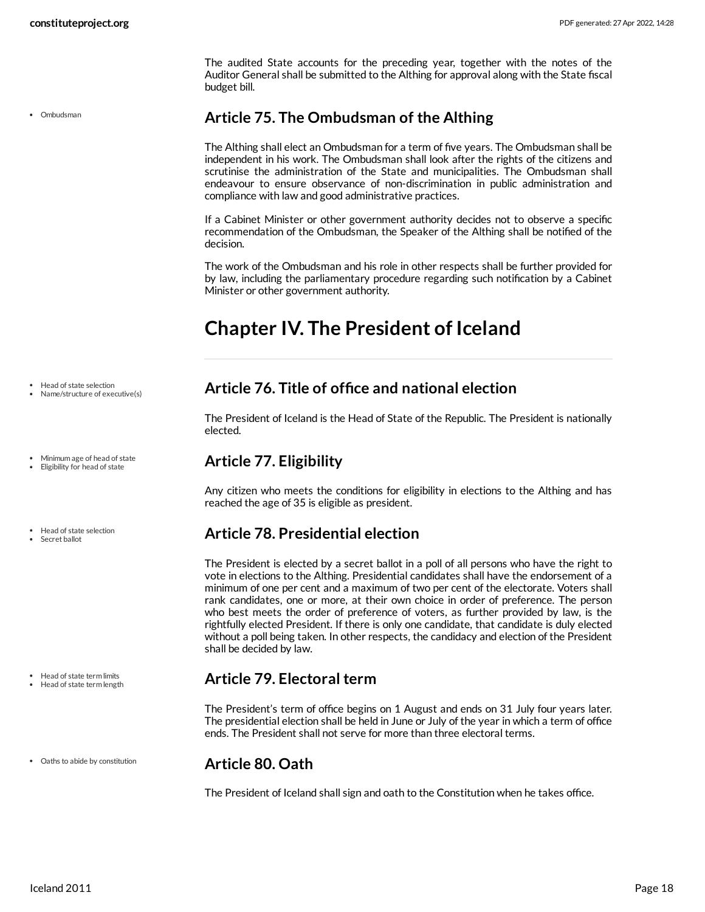The audited State accounts for the preceding year, together with the notes of the Auditor General shall be submitted to the Althing for approval along with the State fiscal budget bill.

Ombudsman

# <span id="page-17-0"></span>**Article 75. The Ombudsman of the Althing**

The Althing shall elect an Ombudsman for a term of five years. The Ombudsman shall be independent in his work. The Ombudsman shall look after the rights of the citizens and scrutinise the administration of the State and municipalities. The Ombudsman shall endeavour to ensure observance of non-discrimination in public administration and compliance with law and good administrative practices.

If a Cabinet Minister or other government authority decides not to observe a specific recommendation of the Ombudsman, the Speaker of the Althing shall be notified of the decision.

The work of the Ombudsman and his role in other respects shall be further provided for by law, including the parliamentary procedure regarding such notification by a Cabinet Minister or other government authority.

# <span id="page-17-1"></span>**Chapter IV. The President of Iceland**

- Head of state selection
- Name/structure of executive(s)
- Minimum age of head of state
- Eligibility for head of state
- Head of state selection
- Secret ballot

- Head of state term limits Head of state term length
- Oaths to abide by constitution

# <span id="page-17-2"></span>**Article 76. Title of office and national election**

The President of Iceland is the Head of State of the Republic. The President is nationally elected.

# <span id="page-17-3"></span>**Article 77. Eligibility**

Any citizen who meets the conditions for eligibility in elections to the Althing and has reached the age of 35 is eligible as president.

#### <span id="page-17-4"></span>**Article 78. Presidential election**

The President is elected by a secret ballot in a poll of all persons who have the right to vote in elections to the Althing. Presidential candidates shall have the endorsement of a minimum of one per cent and a maximum of two per cent of the electorate. Voters shall rank candidates, one or more, at their own choice in order of preference. The person who best meets the order of preference of voters, as further provided by law, is the rightfully elected President. If there is only one candidate, that candidate is duly elected without a poll being taken. In other respects, the candidacy and election of the President shall be decided by law.

#### <span id="page-17-5"></span>**Article 79. Electoral term**

The President's term of office begins on 1 August and ends on 31 July four years later. The presidential election shall be held in June or July of the year in which a term of office ends. The President shall not serve for more than three electoral terms.

#### <span id="page-17-6"></span>**Article 80. Oath**

The President of Iceland shall sign and oath to the Constitution when he takes office.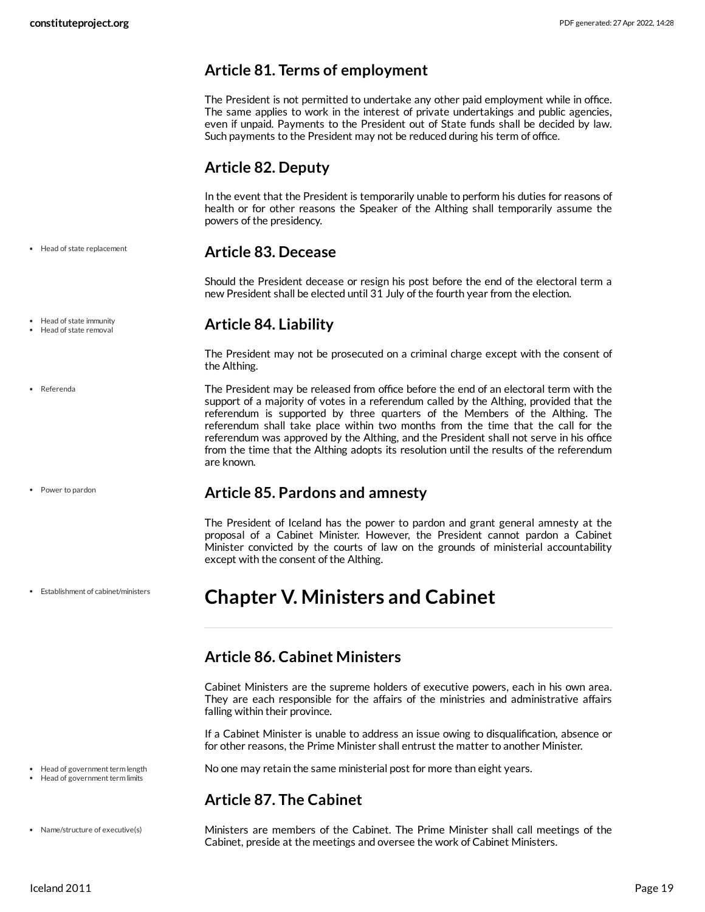#### <span id="page-18-0"></span>**Article 81. Terms of employment**

The President is not permitted to undertake any other paid employment while in office. The same applies to work in the interest of private undertakings and public agencies, even if unpaid. Payments to the President out of State funds shall be decided by law. Such payments to the President may not be reduced during his term of office.

# <span id="page-18-1"></span>**Article 82. Deputy**

In the event that the President is temporarily unable to perform his duties for reasons of health or for other reasons the Speaker of the Althing shall temporarily assume the powers of the presidency.

Head of state replacement

#### <span id="page-18-2"></span>**Article 83. Decease**

Should the President decease or resign his post before the end of the electoral term a new President shall be elected until 31 July of the fourth year from the election.

#### <span id="page-18-3"></span>**Article 84. Liability**

The President may not be prosecuted on a criminal charge except with the consent of the Althing.

<span id="page-18-10"></span>The President may be released from office before the end of an electoral term with the support of a majority of votes in a referendum called by the Althing, provided that the referendum is supported by three quarters of the Members of the Althing. The referendum shall take place within two months from the time that the call for the referendum was approved by the Althing, and the President shall not serve in his office from the time that the Althing adopts its resolution until the results of the referendum are known.

#### <span id="page-18-4"></span>**Article 85. Pardons and amnesty**

The President of Iceland has the power to pardon and grant general amnesty at the proposal of a Cabinet Minister. However, the President cannot pardon a Cabinet Minister convicted by the courts of law on the grounds of ministerial accountability except with the consent of the Althing.

# <span id="page-18-5"></span>**Chapter V. Ministers and Cabinet**

# <span id="page-18-6"></span>**Article 86. Cabinet Ministers**

Cabinet Ministers are the supreme holders of executive powers, each in his own area. They are each responsible for the affairs of the ministries and administrative affairs falling within their province.

If a Cabinet Minister is unable to address an issue owing to disqualification, absence or for other reasons, the Prime Minister shall entrust the matter to another Minister.

<span id="page-18-8"></span>No one may retain the same ministerial post for more than eight years.

#### <span id="page-18-7"></span>**Article 87. The Cabinet**

<span id="page-18-9"></span>Ministers are members of the Cabinet. The Prime Minister shall call meetings of the Cabinet, preside at the meetings and oversee the work of Cabinet Ministers.

Head of state immunity

Head of state removal

Referenda

```
Power to pardon
```
Establishment of cabinet/ministers

• Head of government term length  $\cdot$  Head of government term limits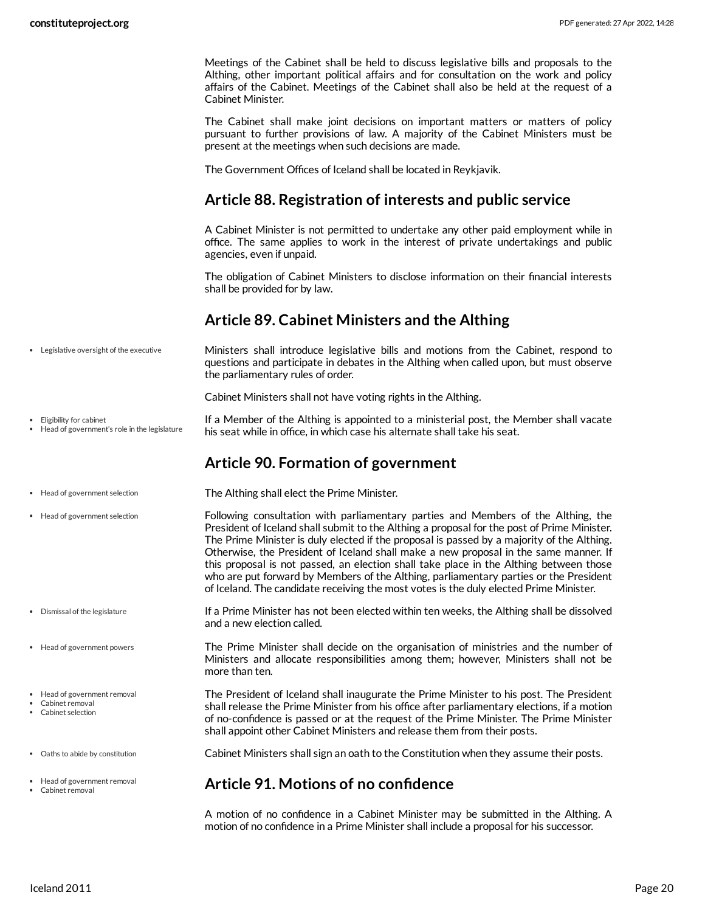Meetings of the Cabinet shall be held to discuss legislative bills and proposals to the Althing, other important political affairs and for consultation on the work and policy affairs of the Cabinet. Meetings of the Cabinet shall also be held at the request of a Cabinet Minister.

The Cabinet shall make joint decisions on important matters or matters of policy pursuant to further provisions of law. A majority of the Cabinet Ministers must be present at the meetings when such decisions are made.

The Government Offices of Iceland shall be located in Reykjavik.

# <span id="page-19-0"></span>**Article 88. Registration of interests and public service**

A Cabinet Minister is not permitted to undertake any other paid employment while in office. The same applies to work in the interest of private undertakings and public agencies, even if unpaid.

The obligation of Cabinet Ministers to disclose information on their financial interests shall be provided for by law.

# <span id="page-19-9"></span><span id="page-19-1"></span>**Article 89. Cabinet Ministers and the Althing**

Ministers shall introduce legislative bills and motions from the Cabinet, respond to questions and participate in debates in the Althing when called upon, but must observe the parliamentary rules of order. Legislative oversight of the executive

<span id="page-19-6"></span>Cabinet Ministers shall not have voting rights in the Althing.

If a Member of the Althing is appointed to a ministerial post, the Member shall vacate his seat while in office, in which case his alternate shall take his seat. Eligibility for cabinet Head of government's role in the legislature

## <span id="page-19-8"></span><span id="page-19-2"></span>**Article 90. Formation of government**

- The Althing shall elect the Prime Minister. Head of government selection
- Following consultation with parliamentary parties and Members of the Althing, the President of Iceland shall submit to the Althing a proposal for the post of Prime Minister. The Prime Minister is duly elected if the proposal is passed by a majority of the Althing. Otherwise, the President of Iceland shall make a new proposal in the same manner. If this proposal is not passed, an election shall take place in the Althing between those who are put forward by Members of the Althing, parliamentary parties or the President of Iceland. The candidate receiving the most votes is the duly elected Prime Minister.
	- If a Prime Minister has not been elected within ten weeks, the Althing shall be dissolved and a new election called.
	- The Prime Minister shall decide on the organisation of ministries and the number of Ministers and allocate responsibilities among them; however, Ministers shall not be more than ten.

<span id="page-19-7"></span><span id="page-19-5"></span><span id="page-19-4"></span>The President of Iceland shall inaugurate the Prime Minister to his post. The President shall release the Prime Minister from his office after parliamentary elections, if a motion of no-confidence is passed or at the request of the Prime Minister. The Prime Minister shall appoint other Cabinet Ministers and release them from their posts.

<span id="page-19-10"></span>Cabinet Ministers shall sign an oath to the Constitution when they assume their posts.

#### <span id="page-19-3"></span>**Article 91. Motions of no confidence**

A motion of no confidence in a Cabinet Minister may be submitted in the Althing. A motion of no confidence in a Prime Minister shall include a proposal for his successor.

- 
- Head of government selection
- Dismissal of the legislature
- Head of government powers
- Head of government removal
- Cabinet removal Cabinet selection
- Oaths to abide by constitution
- Head of government removal Cabinet removal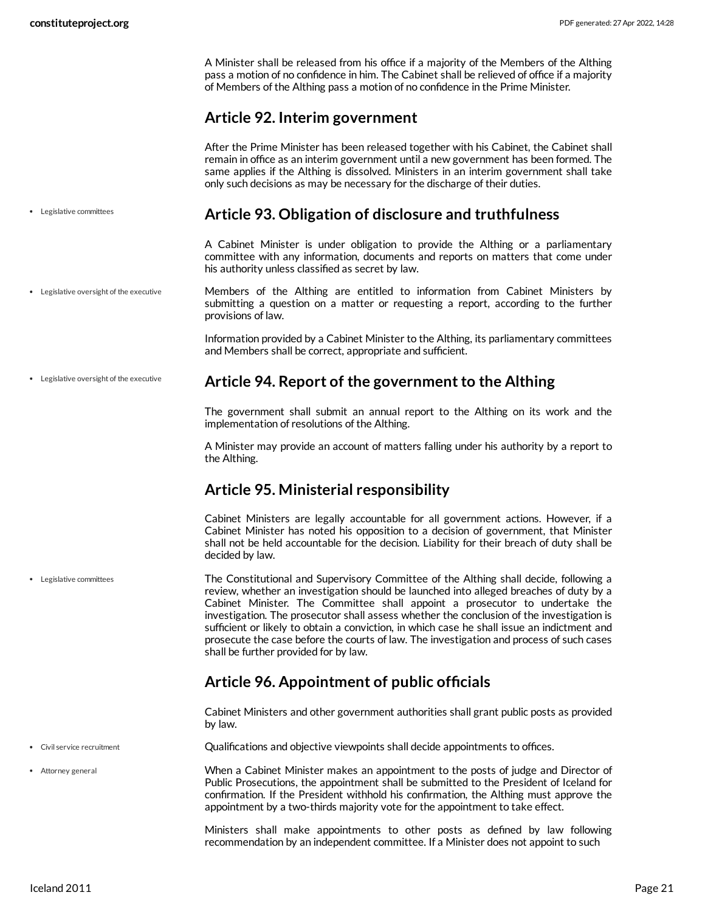<span id="page-20-6"></span><span id="page-20-5"></span><span id="page-20-4"></span><span id="page-20-3"></span><span id="page-20-2"></span> $\bullet$ 

A Minister shall be released from his office if a majority of the Members of the Althing pass a motion of no confidence in him. The Cabinet shall be relieved of office if a majority of Members of the Althing pass a motion of no confidence in the Prime Minister.

# <span id="page-20-7"></span><span id="page-20-1"></span><span id="page-20-0"></span>**Article 92. Interim government**

|                                        | After the Prime Minister has been released together with his Cabinet, the Cabinet shall<br>remain in office as an interim government until a new government has been formed. The<br>same applies if the Althing is dissolved. Ministers in an interim government shall take<br>only such decisions as may be necessary for the discharge of their duties.                                                                                                                                                                                                                                       |
|----------------------------------------|-------------------------------------------------------------------------------------------------------------------------------------------------------------------------------------------------------------------------------------------------------------------------------------------------------------------------------------------------------------------------------------------------------------------------------------------------------------------------------------------------------------------------------------------------------------------------------------------------|
| Legislative committees                 | Article 93. Obligation of disclosure and truthfulness                                                                                                                                                                                                                                                                                                                                                                                                                                                                                                                                           |
|                                        | A Cabinet Minister is under obligation to provide the Althing or a parliamentary<br>committee with any information, documents and reports on matters that come under<br>his authority unless classified as secret by law.                                                                                                                                                                                                                                                                                                                                                                       |
| Legislative oversight of the executive | Members of the Althing are entitled to information from Cabinet Ministers by<br>submitting a question on a matter or requesting a report, according to the further<br>provisions of law.                                                                                                                                                                                                                                                                                                                                                                                                        |
|                                        | Information provided by a Cabinet Minister to the Althing, its parliamentary committees<br>and Members shall be correct, appropriate and sufficient.                                                                                                                                                                                                                                                                                                                                                                                                                                            |
| Legislative oversight of the executive | Article 94. Report of the government to the Althing                                                                                                                                                                                                                                                                                                                                                                                                                                                                                                                                             |
|                                        | The government shall submit an annual report to the Althing on its work and the<br>implementation of resolutions of the Althing.                                                                                                                                                                                                                                                                                                                                                                                                                                                                |
|                                        | A Minister may provide an account of matters falling under his authority by a report to<br>the Althing.                                                                                                                                                                                                                                                                                                                                                                                                                                                                                         |
|                                        | <b>Article 95. Ministerial responsibility</b>                                                                                                                                                                                                                                                                                                                                                                                                                                                                                                                                                   |
|                                        | Cabinet Ministers are legally accountable for all government actions. However, if a<br>Cabinet Minister has noted his opposition to a decision of government, that Minister<br>shall not be held accountable for the decision. Liability for their breach of duty shall be<br>decided by law.                                                                                                                                                                                                                                                                                                   |
| Legislative committees                 | The Constitutional and Supervisory Committee of the Althing shall decide, following a<br>review, whether an investigation should be launched into alleged breaches of duty by a<br>Cabinet Minister. The Committee shall appoint a prosecutor to undertake the<br>investigation. The prosecutor shall assess whether the conclusion of the investigation is<br>sufficient or likely to obtain a conviction, in which case he shall issue an indictment and<br>prosecute the case before the courts of law. The investigation and process of such cases<br>shall be further provided for by law. |
|                                        | <b>Article 96. Appointment of public officials</b>                                                                                                                                                                                                                                                                                                                                                                                                                                                                                                                                              |
|                                        | Cabinet Ministers and other government authorities shall grant public posts as provided<br>by law.                                                                                                                                                                                                                                                                                                                                                                                                                                                                                              |
| Civil service recruitment              | Qualifications and objective viewpoints shall decide appointments to offices.                                                                                                                                                                                                                                                                                                                                                                                                                                                                                                                   |
| Attorney general                       | When a Cabinet Minister makes an appointment to the posts of judge and Director of<br>Public Prosecutions, the appointment shall be submitted to the President of Iceland for<br>confirmation. If the President withhold his confirmation, the Althing must approve the<br>appointment by a two-thirds majority vote for the appointment to take effect.                                                                                                                                                                                                                                        |
|                                        | Ministers shall make appointments to other posts as defined by law following<br>recommendation by an independent committee. If a Minister does not appoint to such                                                                                                                                                                                                                                                                                                                                                                                                                              |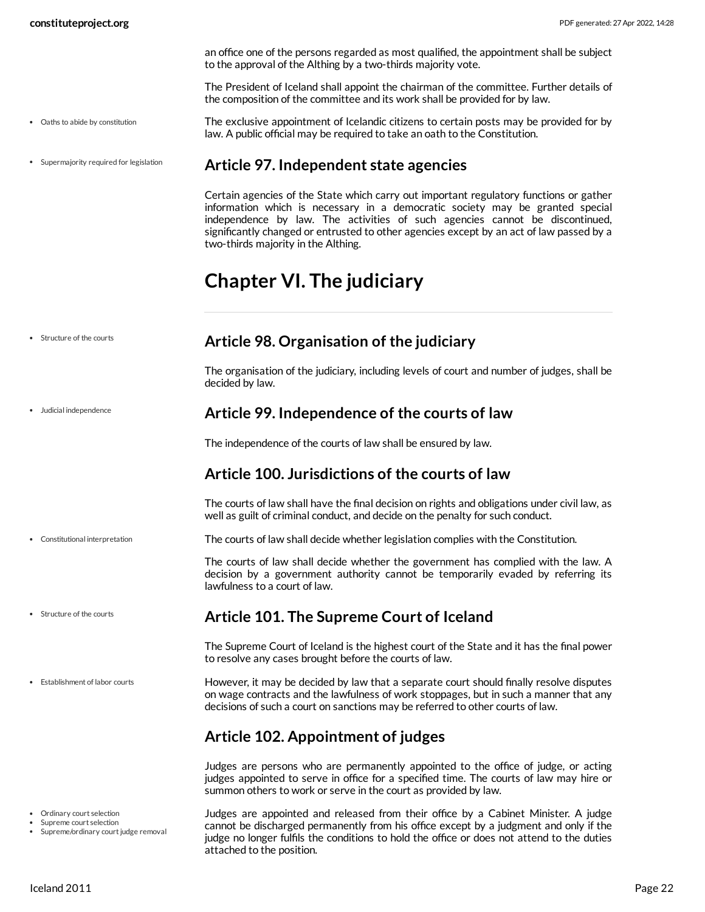an office one of the persons regarded as most qualified, the appointment shall be subject to the approval of the Althing by a two-thirds majority vote.

<span id="page-21-9"></span>The President of Iceland shall appoint the chairman of the committee. Further details of the composition of the committee and its work shall be provided for by law.

- The exclusive appointment of Icelandic citizens to certain posts may be provided for by law. A public official may be required to take an oath to the Constitution. Oaths to abide by constitution
- Supermajority required for legislation

#### <span id="page-21-0"></span>**Article 97. Independent state agencies**

Certain agencies of the State which carry out important regulatory functions or gather information which is necessary in a democratic society may be granted special independence by law. The activities of such agencies cannot be discontinued, significantly changed or entrusted to other agencies except by an act of law passed by a two-thirds majority in the Althing.

# <span id="page-21-1"></span>**Chapter VI. The judiciary**

| Structure of the courts |  |  |
|-------------------------|--|--|
|                         |  |  |

Judicial independence

#### <span id="page-21-2"></span>**Article 98. Organisation of the judiciary**

The organisation of the judiciary, including levels of court and number of judges, shall be decided by law.

#### <span id="page-21-3"></span>**Article 99. Independence of the courts of law**

The independence of the courts of law shall be ensured by law.

#### <span id="page-21-4"></span>**Article 100. Jurisdictions of the courts of law**

The courts of law shall have the final decision on rights and obligations under civil law, as well as guilt of criminal conduct, and decide on the penalty for such conduct.

<span id="page-21-7"></span>The courts of law shall decide whether legislation complies with the Constitution.

The courts of law shall decide whether the government has complied with the law. A decision by a government authority cannot be temporarily evaded by referring its lawfulness to a court of law.

#### <span id="page-21-5"></span>**Article 101. The Supreme Court of Iceland**

The Supreme Court of Iceland is the highest court of the State and it has the final power to resolve any cases brought before the courts of law.

<span id="page-21-8"></span>However, it may be decided by law that a separate court should finally resolve disputes on wage contracts and the lawfulness of work stoppages, but in such a manner that any decisions of such a court on sanctions may be referred to other courts of law.

# <span id="page-21-6"></span>**Article 102. Appointment of judges**

Judges are persons who are permanently appointed to the office of judge, or acting judges appointed to serve in office for a specified time. The courts of law may hire or summon others to work or serve in the court as provided by law.

<span id="page-21-10"></span>Judges are appointed and released from their office by a Cabinet Minister. A judge cannot be discharged permanently from his office except by a judgment and only if the judge no longer fulfils the conditions to hold the office or does not attend to the duties attached to the position.

Constitutional interpretation

- Structure of the courts
- **•** Establishment of labor courts

- Ordinary court selection
- Supreme court selection

<sup>•</sup> Supreme/ordinary court judge removal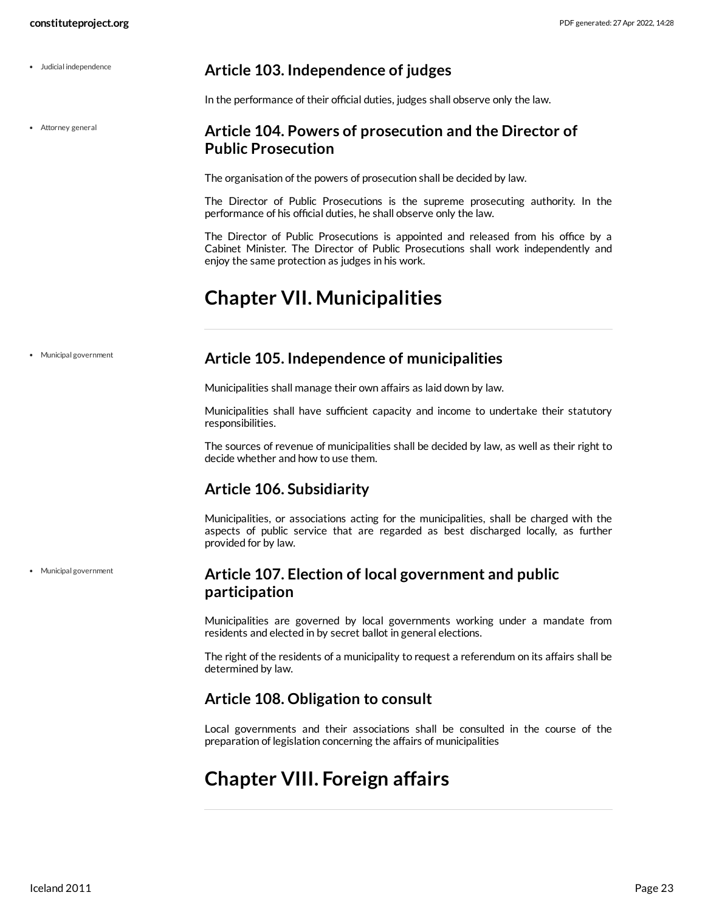<span id="page-22-7"></span><span id="page-22-6"></span><span id="page-22-5"></span><span id="page-22-4"></span><span id="page-22-3"></span><span id="page-22-2"></span><span id="page-22-1"></span><span id="page-22-0"></span>

| • Judicial independence | Article 103. Independence of judges                                                                                                                                                                                          |
|-------------------------|------------------------------------------------------------------------------------------------------------------------------------------------------------------------------------------------------------------------------|
|                         | In the performance of their official duties, judges shall observe only the law.                                                                                                                                              |
| • Attorney general      | Article 104. Powers of prosecution and the Director of<br><b>Public Prosecution</b>                                                                                                                                          |
|                         | The organisation of the powers of prosecution shall be decided by law.                                                                                                                                                       |
|                         | The Director of Public Prosecutions is the supreme prosecuting authority. In the<br>performance of his official duties, he shall observe only the law.                                                                       |
|                         | The Director of Public Prosecutions is appointed and released from his office by a<br>Cabinet Minister. The Director of Public Prosecutions shall work independently and<br>enjoy the same protection as judges in his work. |
|                         | <b>Chapter VII. Municipalities</b>                                                                                                                                                                                           |
| • Municipal government  | Article 105. Independence of municipalities                                                                                                                                                                                  |
|                         | Municipalities shall manage their own affairs as laid down by law.                                                                                                                                                           |
|                         | Municipalities shall have sufficient capacity and income to undertake their statutory<br>responsibilities.                                                                                                                   |
|                         | The sources of revenue of municipalities shall be decided by law, as well as their right to<br>decide whether and how to use them.                                                                                           |
|                         | <b>Article 106. Subsidiarity</b>                                                                                                                                                                                             |
|                         | Municipalities, or associations acting for the municipalities, shall be charged with the<br>aspects of public service that are regarded as best discharged locally, as further<br>provided for by law.                       |
| • Municipal government  | Article 107. Election of local government and public<br>participation                                                                                                                                                        |
|                         | Municipalities are governed by local governments working under a mandate from<br>residents and elected in by secret ballot in general elections.                                                                             |
|                         | The right of the residents of a municipality to request a referendum on its affairs shall be<br>determined by law.                                                                                                           |
|                         | Article 108. Obligation to consult                                                                                                                                                                                           |
|                         | Local governments and their associations shall be consulted in the course of the<br>preparation of legislation concerning the affairs of municipalities                                                                      |
|                         | <b>Chapter VIII. Foreign affairs</b>                                                                                                                                                                                         |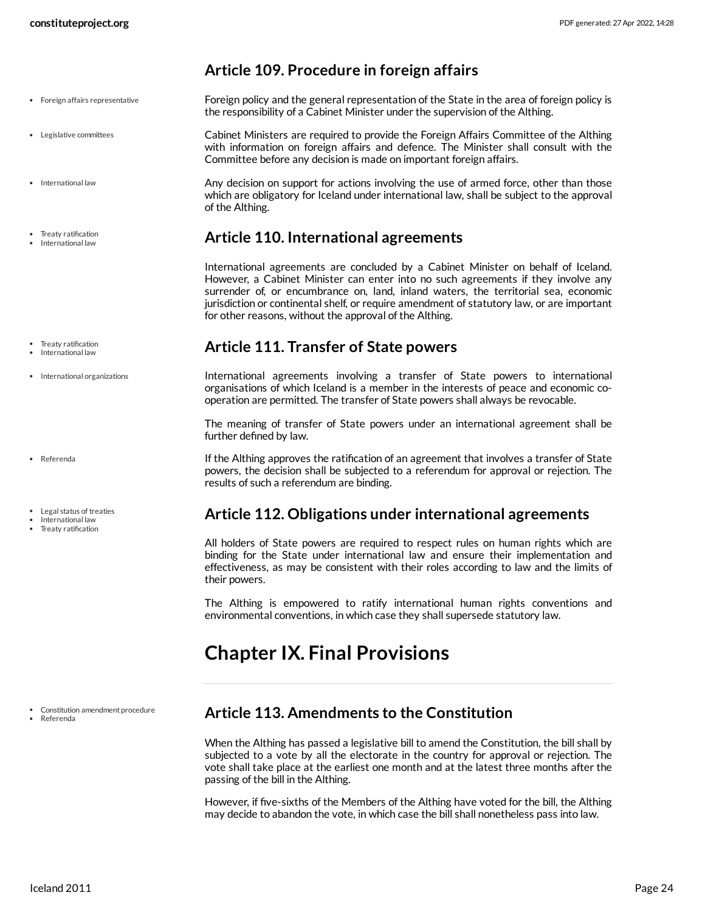- Foreign affairs representative
- Legislative committees
- International law
- Treaty ratification
- International law
- Treaty ratification
- International law
- International organizations
- Referenda
- Legal status of treaties
- International law
- Treaty ratification

Constitution amendment procedure

Referenda

#### <span id="page-23-6"></span><span id="page-23-0"></span>**Article 109. Procedure in foreign affairs**

Foreign policy and the general representation of the State in the area of foreign policy is the responsibility of a Cabinet Minister under the supervision of the Althing.

<span id="page-23-9"></span>Cabinet Ministers are required to provide the Foreign Affairs Committee of the Althing with information on foreign affairs and defence. The Minister shall consult with the Committee before any decision is made on important foreign affairs.

<span id="page-23-7"></span>Any decision on support for actions involving the use of armed force, other than those which are obligatory for Iceland under international law, shall be subject to the approval of the Althing.

#### <span id="page-23-1"></span>**Article 110. International agreements**

International agreements are concluded by a Cabinet Minister on behalf of Iceland. However, a Cabinet Minister can enter into no such agreements if they involve any surrender of, or encumbrance on, land, inland waters, the territorial sea, economic jurisdiction or continental shelf, or require amendment of statutory law, or are important for other reasons, without the approval of the Althing.

#### <span id="page-23-2"></span>**Article 111. Transfer of State powers**

<span id="page-23-8"></span>International agreements involving a transfer of State powers to international organisations of which Iceland is a member in the interests of peace and economic cooperation are permitted. The transfer of State powers shall always be revocable.

The meaning of transfer of State powers under an international agreement shall be further defined by law.

<span id="page-23-10"></span>If the Althing approves the ratification of an agreement that involves a transfer of State powers, the decision shall be subjected to a referendum for approval or rejection. The results of such a referendum are binding.

#### <span id="page-23-3"></span>**Article 112. Obligations under international agreements**

All holders of State powers are required to respect rules on human rights which are binding for the State under international law and ensure their implementation and effectiveness, as may be consistent with their roles according to law and the limits of their powers.

The Althing is empowered to ratify international human rights conventions and environmental conventions, in which case they shall supersede statutory law.

# <span id="page-23-4"></span>**Chapter IX. Final Provisions**

#### <span id="page-23-5"></span>**Article 113. Amendments to the Constitution**

When the Althing has passed a legislative bill to amend the Constitution, the bill shall by subjected to a vote by all the electorate in the country for approval or rejection. The vote shall take place at the earliest one month and at the latest three months after the passing of the bill in the Althing.

However, if five-sixths of the Members of the Althing have voted for the bill, the Althing may decide to abandon the vote, in which case the bill shall nonetheless pass into law.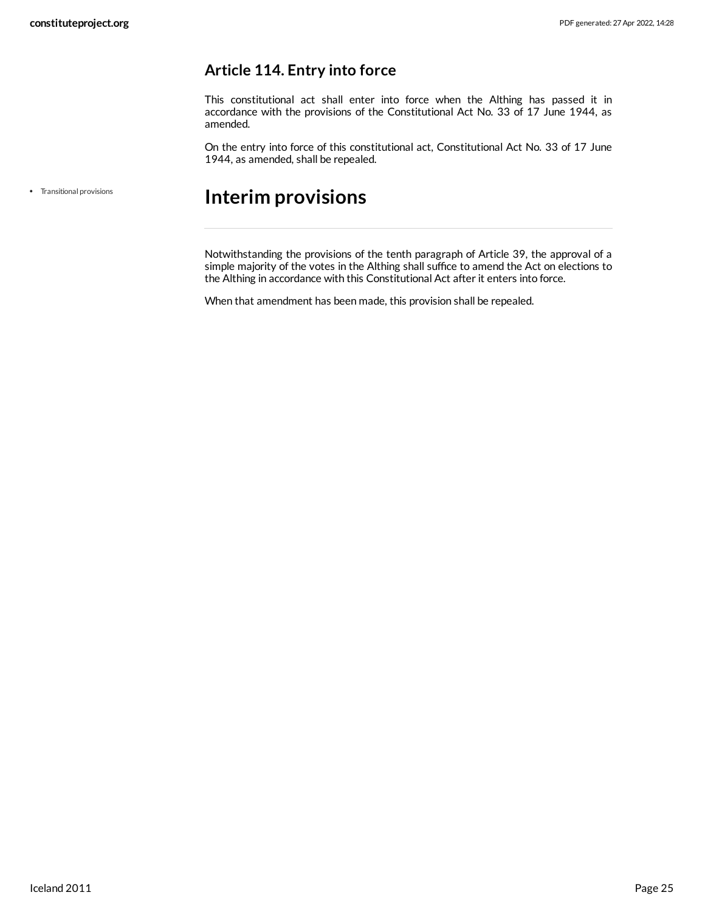#### <span id="page-24-0"></span>**Article 114. Entry into force**

This constitutional act shall enter into force when the Althing has passed it in accordance with the provisions of the Constitutional Act No. 33 of 17 June 1944, as amended.

On the entry into force of this constitutional act, Constitutional Act No. 33 of 17 June 1944, as amended, shall be repealed.

Transitional provisions

# <span id="page-24-1"></span>**Interim provisions**

Notwithstanding the provisions of the tenth paragraph of Article 39, the approval of a simple majority of the votes in the Althing shall suffice to amend the Act on elections to the Althing in accordance with this Constitutional Act after it enters into force.

When that amendment has been made, this provision shall be repealed.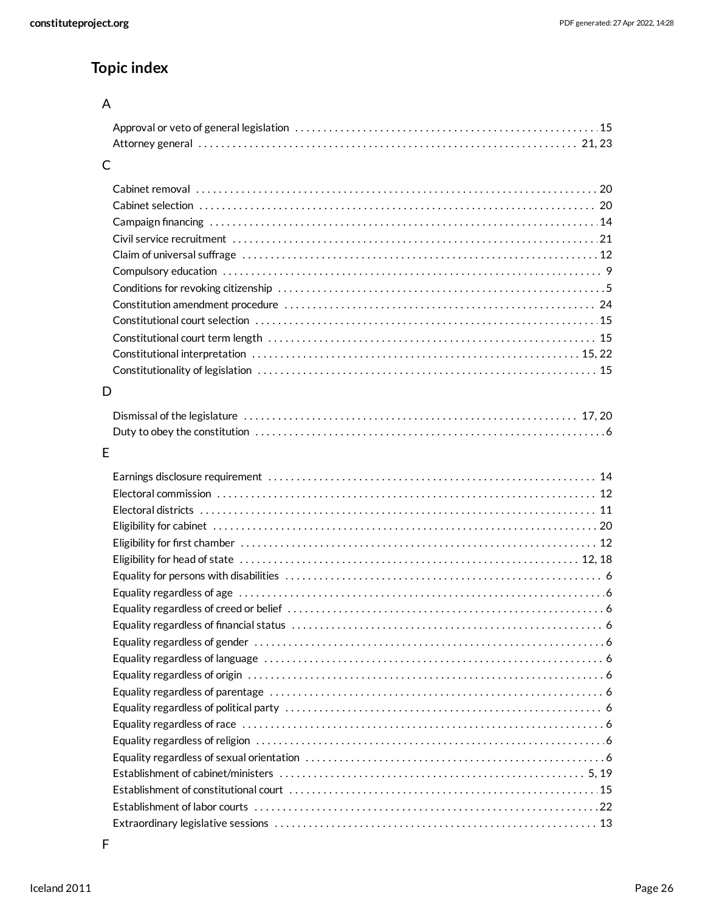# **Topic index**

# A

#### C

#### D

# E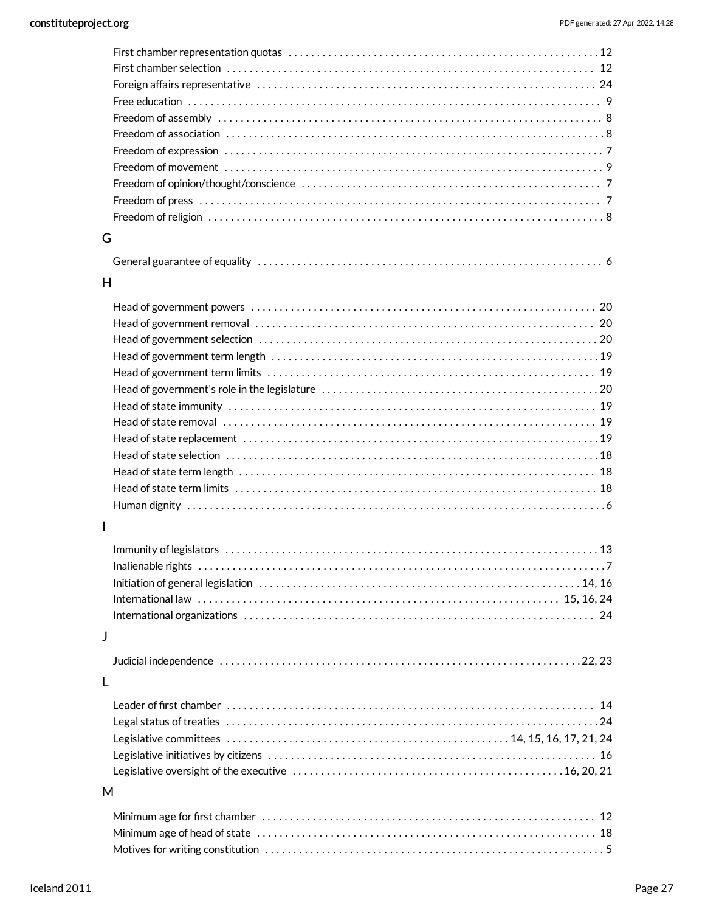| G            |  |
|--------------|--|
|              |  |
| H            |  |
|              |  |
|              |  |
|              |  |
|              |  |
|              |  |
|              |  |
|              |  |
|              |  |
|              |  |
|              |  |
|              |  |
|              |  |
|              |  |
|              |  |
| $\mathbf{I}$ |  |
|              |  |
|              |  |
|              |  |
|              |  |
|              |  |
|              |  |
| J            |  |
|              |  |
| L            |  |
|              |  |
|              |  |
|              |  |
|              |  |
|              |  |
| M            |  |
|              |  |
|              |  |
|              |  |
|              |  |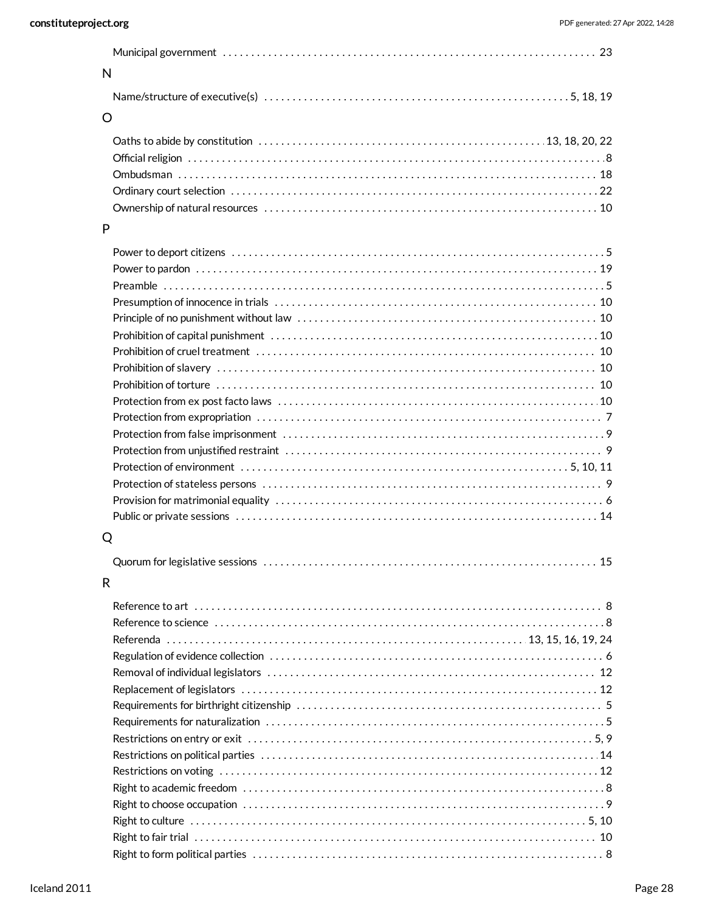| $\mathsf{N}$ |   |
|--------------|---|
|              |   |
| O            |   |
|              |   |
|              |   |
|              |   |
|              |   |
|              |   |
| P            |   |
|              |   |
|              |   |
|              |   |
|              |   |
|              |   |
|              |   |
|              |   |
|              |   |
|              |   |
|              |   |
|              |   |
|              |   |
|              |   |
|              |   |
|              |   |
|              |   |
|              |   |
| Q            |   |
|              |   |
|              | . |
| R            |   |
|              |   |
|              |   |
|              |   |
|              |   |
|              |   |
|              |   |
|              |   |
|              |   |
|              |   |
|              |   |
|              |   |
|              |   |
|              |   |
|              |   |
|              |   |
|              |   |